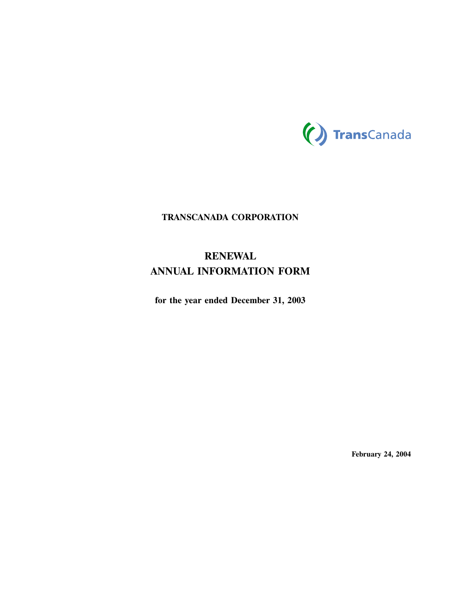

# **TRANSCANADA CORPORATION**

# **RENEWAL ANNUAL INFORMATION FORM**

**for the year ended December 31, 2003**

**February 24, 2004**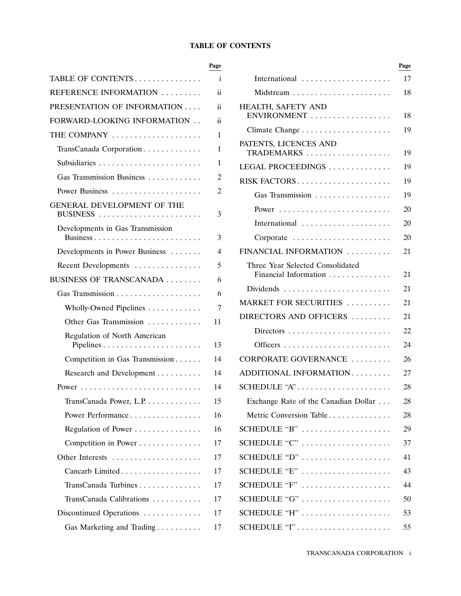# **TABLE OF CONTENTS**

|                                  | .  |                                     |
|----------------------------------|----|-------------------------------------|
| TABLE OF CONTENTS                | i  | International                       |
| REFERENCE INFORMATION            | ii | Midstream                           |
| PRESENTATION OF INFORMATION      | ii | HEALTH, SAFETY AND                  |
| FORWARD-LOOKING INFORMATION      | ii | ENVIRONMENT                         |
| THE COMPANY                      | 1  | Climate Change                      |
| TransCanada Corporation          | 1  | PATENTS, LICENCES AND<br>TRADEMARKS |
|                                  | 1  | LEGAL PROCEEDINGS                   |
| Gas Transmission Business        | 2  | RISK FACTORS                        |
| Power Business                   | 2  | Gas Transmission                    |
| GENERAL DEVELOPMENT OF THE       | 3  | Power                               |
| Developments in Gas Transmission |    | International                       |
|                                  | 3  | Corporate                           |
| Developments in Power Business   | 4  | FINANCIAL INFORMATION               |
| Recent Developments              | 5  | Three Year Selected Consolidated    |
| BUSINESS OF TRANSCANADA          | 6  | Financial Information               |
|                                  | 6  | Dividends                           |
| Wholly-Owned Pipelines           | 7  | MARKET FOR SECURITIES               |
| Other Gas Transmission           | 11 | DIRECTORS AND OFFICERS              |
| Regulation of North American     |    | Directors                           |
|                                  | 13 | Officers                            |
| Competition in Gas Transmission  | 14 | <b>CORPORATE GOVERNANCE</b>         |
| Research and Development         | 14 | ADDITIONAL INFORMATION              |
|                                  | 14 | SCHEDULE "A"                        |
| TransCanada Power, L.P.          | 15 | Exchange Rate of the Canadian D     |
| Power Performance                | 16 | Metric Conversion Table             |
| Regulation of Power              | 16 | SCHEDULE "B"                        |
| Competition in Power             | 17 | SCHEDULE "C"                        |
| Other Interests                  | 17 | SCHEDULE "D"                        |
| Cancarb Limited                  | 17 | SCHEDULE "E"                        |
| TransCanada Turbines             | 17 | SCHEDULE "F"                        |
| TransCanada Calibrations         | 17 | SCHEDULE "G"                        |
| Discontinued Operations          | 17 | SCHEDULE "H"                        |
| Gas Marketing and Trading        | 17 | SCHEDULE "I"                        |

|                                  | Page          |                                                    | Page |
|----------------------------------|---------------|----------------------------------------------------|------|
| TABLE OF CONTENTS                | i             | International                                      | 17   |
| REFERENCE INFORMATION            | ii            |                                                    | 18   |
| PRESENTATION OF INFORMATION      | $\rm ii$      | HEALTH, SAFETY AND                                 |      |
| FORWARD-LOOKING INFORMATION      | $\mathbf{ii}$ | ENVIRONMENT                                        | 18   |
| THE COMPANY                      | 1             |                                                    | 19   |
| TransCanada Corporation          | 1             | PATENTS, LICENCES AND<br>TRADEMARKS                | 19   |
|                                  | 1             | LEGAL PROCEEDINGS                                  | 19   |
| Gas Transmission Business        | 2             | RISK FACTORS                                       | 19   |
|                                  | 2             | Gas Transmission                                   | 19   |
| GENERAL DEVELOPMENT OF THE       |               |                                                    | 20   |
|                                  | 3             | International                                      | 20   |
| Developments in Gas Transmission | 3             | Corporate                                          | 20   |
| Developments in Power Business   | 4             | FINANCIAL INFORMATION                              | 21   |
| Recent Developments              | 5             | Three Year Selected Consolidated                   |      |
| BUSINESS OF TRANSCANADA          | 6             | Financial Information                              | 21   |
|                                  | 6             |                                                    | 21   |
| Wholly-Owned Pipelines           | 7             | MARKET FOR SECURITIES                              | 21   |
| Other Gas Transmission           | 11            | DIRECTORS AND OFFICERS                             | 21   |
| Regulation of North American     |               |                                                    | 22   |
|                                  | 13            |                                                    | 24   |
| Competition in Gas Transmission  | 14            | CORPORATE GOVERNANCE                               | 26   |
| Research and Development         | 14            | ADDITIONAL INFORMATION                             | 27   |
|                                  | 14            | SCHEDULE "A"                                       | 28   |
| TransCanada Power, L.P.          | 15            | Exchange Rate of the Canadian Dollar               | 28   |
| Power Performance                | 16            | Metric Conversion Table                            | 28   |
| Regulation of Power              | 16            | SCHEDULE "B" $\dots\dots\dots\dots\dots\dots\dots$ | 29   |
| Competition in Power             | 17            | SCHEDULE " $C$ "                                   | 37   |
| Other Interests                  | 17            | SCHEDULE "D"                                       | 41   |
| Cancarb Limited                  | 17            | SCHEDULE "E"                                       | 43   |
| TransCanada Turbines             | 17            | SCHEDULE "F"                                       | 44   |
| TransCanada Calibrations         | 17            | SCHEDULE "G"                                       | 50   |
| Discontinued Operations          | 17            | SCHEDULE "H"                                       | 53   |
| Gas Marketing and Trading        | 17            |                                                    | 55   |
|                                  |               |                                                    |      |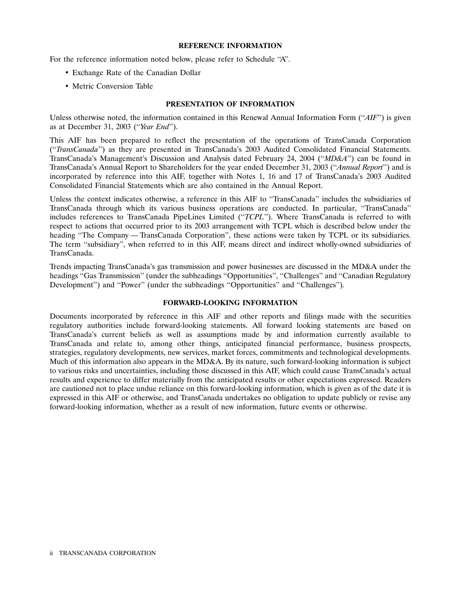## **REFERENCE INFORMATION**

For the reference information noted below, please refer to Schedule ''A''.

- Exchange Rate of the Canadian Dollar
- Metric Conversion Table

# **PRESENTATION OF INFORMATION**

Unless otherwise noted, the information contained in this Renewal Annual Information Form (''*AIF*'') is given as at December 31, 2003 (''*Year End*'').

This AIF has been prepared to reflect the presentation of the operations of TransCanada Corporation (''*TransCanada*'') as they are presented in TransCanada's 2003 Audited Consolidated Financial Statements. TransCanada's Management's Discussion and Analysis dated February 24, 2004 (''*MD&A*'') can be found in TransCanada's Annual Report to Shareholders for the year ended December 31, 2003 (''*Annual Report*'') and is incorporated by reference into this AIF, together with Notes 1, 16 and 17 of TransCanada's 2003 Audited Consolidated Financial Statements which are also contained in the Annual Report.

Unless the context indicates otherwise, a reference in this AIF to ''TransCanada'' includes the subsidiaries of TransCanada through which its various business operations are conducted. In particular, ''TransCanada'' includes references to TransCanada PipeLines Limited (''*TCPL*''). Where TransCanada is referred to with respect to actions that occurred prior to its 2003 arrangement with TCPL which is described below under the heading ''The Company — TransCanada Corporation'', these actions were taken by TCPL or its subsidiaries. The term ''subsidiary'', when referred to in this AIF, means direct and indirect wholly-owned subsidiaries of TransCanada.

Trends impacting TransCanada's gas transmission and power businesses are discussed in the MD&A under the headings "Gas Transmission" (under the subheadings "Opportunities", "Challenges" and "Canadian Regulatory Development'') and "Power" (under the subheadings "Opportunities" and "Challenges").

#### **FORWARD-LOOKING INFORMATION**

Documents incorporated by reference in this AIF and other reports and filings made with the securities regulatory authorities include forward-looking statements. All forward looking statements are based on TransCanada's current beliefs as well as assumptions made by and information currently available to TransCanada and relate to, among other things, anticipated financial performance, business prospects, strategies, regulatory developments, new services, market forces, commitments and technological developments. Much of this information also appears in the MD&A. By its nature, such forward-looking information is subject to various risks and uncertainties, including those discussed in this AIF, which could cause TransCanada's actual results and experience to differ materially from the anticipated results or other expectations expressed. Readers are cautioned not to place undue reliance on this forward-looking information, which is given as of the date it is expressed in this AIF or otherwise, and TransCanada undertakes no obligation to update publicly or revise any forward-looking information, whether as a result of new information, future events or otherwise.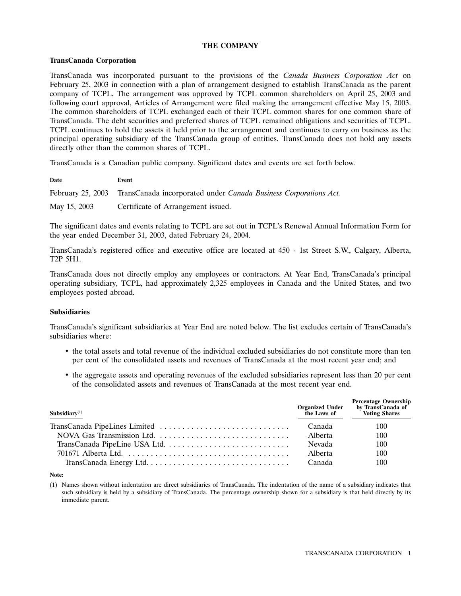# **THE COMPANY**

# **TransCanada Corporation**

TransCanada was incorporated pursuant to the provisions of the *Canada Business Corporation Act* on February 25, 2003 in connection with a plan of arrangement designed to establish TransCanada as the parent company of TCPL. The arrangement was approved by TCPL common shareholders on April 25, 2003 and following court approval, Articles of Arrangement were filed making the arrangement effective May 15, 2003. The common shareholders of TCPL exchanged each of their TCPL common shares for one common share of TransCanada. The debt securities and preferred shares of TCPL remained obligations and securities of TCPL. TCPL continues to hold the assets it held prior to the arrangement and continues to carry on business as the principal operating subsidiary of the TransCanada group of entities. TransCanada does not hold any assets directly other than the common shares of TCPL.

TransCanada is a Canadian public company. Significant dates and events are set forth below.

| Date         | Event                                                                              |
|--------------|------------------------------------------------------------------------------------|
|              | February 25, 2003 TransCanada incorporated under Canada Business Corporations Act. |
| May 15, 2003 | Certificate of Arrangement issued.                                                 |

The significant dates and events relating to TCPL are set out in TCPL's Renewal Annual Information Form for the year ended December 31, 2003, dated February 24, 2004.

TransCanada's registered office and executive office are located at 450 - 1st Street S.W., Calgary, Alberta, T2P 5H1.

TransCanada does not directly employ any employees or contractors. At Year End, TransCanada's principal operating subsidiary, TCPL, had approximately 2,325 employees in Canada and the United States, and two employees posted abroad.

#### **Subsidiaries**

TransCanada's significant subsidiaries at Year End are noted below. The list excludes certain of TransCanada's subsidiaries where:

- the total assets and total revenue of the individual excluded subsidiaries do not constitute more than ten per cent of the consolidated assets and revenues of TransCanada at the most recent year end; and
- the aggregate assets and operating revenues of the excluded subsidiaries represent less than 20 per cent of the consolidated assets and revenues of TransCanada at the most recent year end.

| Subsidiary $(1)$           | <b>Organized Under<br/>the Laws of</b> | <b>Percentage Ownership</b><br>by TransCanada of<br>Voting Shares |
|----------------------------|----------------------------------------|-------------------------------------------------------------------|
|                            | Canada                                 | 100                                                               |
| NOVA Gas Transmission Ltd. | Alberta                                | 100                                                               |
|                            | Nevada                                 | 100                                                               |
|                            | Alberta                                | 100                                                               |
|                            | Canada                                 | 100                                                               |

#### **Note:**

(1) Names shown without indentation are direct subsidiaries of TransCanada. The indentation of the name of a subsidiary indicates that such subsidiary is held by a subsidiary of TransCanada. The percentage ownership shown for a subsidiary is that held directly by its immediate parent.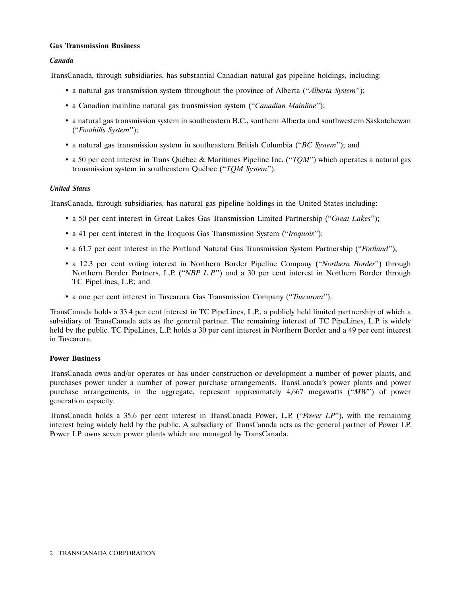# **Gas Transmission Business**

# *Canada*

TransCanada, through subsidiaries, has substantial Canadian natural gas pipeline holdings, including:

- a natural gas transmission system throughout the province of Alberta (''*Alberta System*'');
- a Canadian mainline natural gas transmission system (''*Canadian Mainline*'');
- a natural gas transmission system in southeastern B.C., southern Alberta and southwestern Saskatchewan (''*Foothills System*'');
- a natural gas transmission system in southeastern British Columbia (''*BC System*''); and
- a 50 per cent interest in Trans Québec & Maritimes Pipeline Inc. ("*TQM*") which operates a natural gas transmission system in southeastern Québec ("TQM System").

# *United States*

TransCanada, through subsidiaries, has natural gas pipeline holdings in the United States including:

- a 50 per cent interest in Great Lakes Gas Transmission Limited Partnership (''*Great Lakes*'');
- a 41 per cent interest in the Iroquois Gas Transmission System (''*Iroquois*'');
- a 61.7 per cent interest in the Portland Natural Gas Transmission System Partnership (''*Portland*'');
- a 12.3 per cent voting interest in Northern Border Pipeline Company (''*Northern Border*'') through Northern Border Partners, L.P. (''*NBP L.P.*'') and a 30 per cent interest in Northern Border through TC PipeLines, L.P.; and
- a one per cent interest in Tuscarora Gas Transmission Company (''*Tuscarora*'').

TransCanada holds a 33.4 per cent interest in TC PipeLines, L.P., a publicly held limited partnership of which a subsidiary of TransCanada acts as the general partner. The remaining interest of TC PipeLines, L.P. is widely held by the public. TC PipeLines, L.P. holds a 30 per cent interest in Northern Border and a 49 per cent interest in Tuscarora.

# **Power Business**

TransCanada owns and/or operates or has under construction or development a number of power plants, and purchases power under a number of power purchase arrangements. TransCanada's power plants and power purchase arrangements, in the aggregate, represent approximately 4,667 megawatts (''*MW*'') of power generation capacity.

TransCanada holds a 35.6 per cent interest in TransCanada Power, L.P. (''*Power LP*''), with the remaining interest being widely held by the public. A subsidiary of TransCanada acts as the general partner of Power LP. Power LP owns seven power plants which are managed by TransCanada.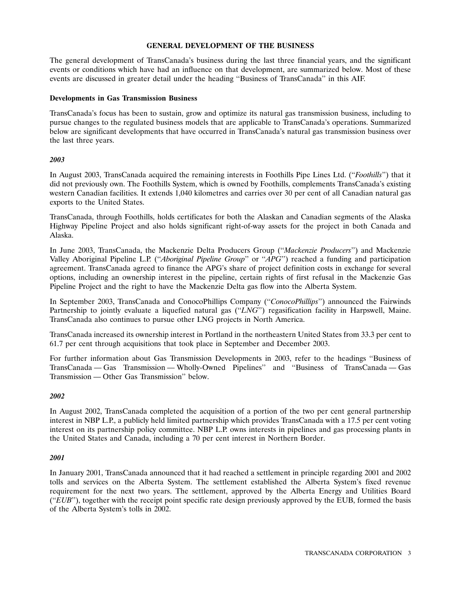# **GENERAL DEVELOPMENT OF THE BUSINESS**

The general development of TransCanada's business during the last three financial years, and the significant events or conditions which have had an influence on that development, are summarized below. Most of these events are discussed in greater detail under the heading ''Business of TransCanada'' in this AIF.

## **Developments in Gas Transmission Business**

TransCanada's focus has been to sustain, grow and optimize its natural gas transmission business, including to pursue changes to the regulated business models that are applicable to TransCanada's operations. Summarized below are significant developments that have occurred in TransCanada's natural gas transmission business over the last three years.

# *2003*

In August 2003, TransCanada acquired the remaining interests in Foothills Pipe Lines Ltd. (''*Foothills*'') that it did not previously own. The Foothills System, which is owned by Foothills, complements TransCanada's existing western Canadian facilities. It extends 1,040 kilometres and carries over 30 per cent of all Canadian natural gas exports to the United States.

TransCanada, through Foothills, holds certificates for both the Alaskan and Canadian segments of the Alaska Highway Pipeline Project and also holds significant right-of-way assets for the project in both Canada and Alaska.

In June 2003, TransCanada, the Mackenzie Delta Producers Group (''*Mackenzie Producers*'') and Mackenzie Valley Aboriginal Pipeline L.P. (''*Aboriginal Pipeline Group*'' or ''*APG*'') reached a funding and participation agreement. TransCanada agreed to finance the APG's share of project definition costs in exchange for several options, including an ownership interest in the pipeline, certain rights of first refusal in the Mackenzie Gas Pipeline Project and the right to have the Mackenzie Delta gas flow into the Alberta System.

In September 2003, TransCanada and ConocoPhillips Company (''*ConocoPhillips*'') announced the Fairwinds Partnership to jointly evaluate a liquefied natural gas ("*LNG*") regasification facility in Harpswell, Maine. TransCanada also continues to pursue other LNG projects in North America.

TransCanada increased its ownership interest in Portland in the northeastern United States from 33.3 per cent to 61.7 per cent through acquisitions that took place in September and December 2003.

For further information about Gas Transmission Developments in 2003, refer to the headings ''Business of TransCanada — Gas Transmission — Wholly-Owned Pipelines'' and ''Business of TransCanada — Gas Transmission — Other Gas Transmission'' below.

# *2002*

In August 2002, TransCanada completed the acquisition of a portion of the two per cent general partnership interest in NBP L.P., a publicly held limited partnership which provides TransCanada with a 17.5 per cent voting interest on its partnership policy committee. NBP L.P. owns interests in pipelines and gas processing plants in the United States and Canada, including a 70 per cent interest in Northern Border.

# *2001*

In January 2001, TransCanada announced that it had reached a settlement in principle regarding 2001 and 2002 tolls and services on the Alberta System. The settlement established the Alberta System's fixed revenue requirement for the next two years. The settlement, approved by the Alberta Energy and Utilities Board (''*EUB*''), together with the receipt point specific rate design previously approved by the EUB, formed the basis of the Alberta System's tolls in 2002.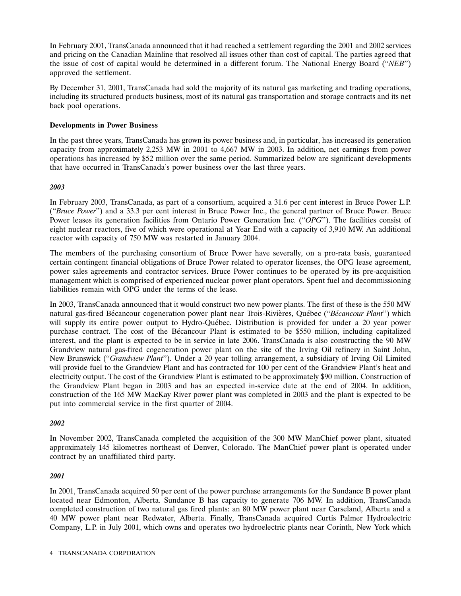In February 2001, TransCanada announced that it had reached a settlement regarding the 2001 and 2002 services and pricing on the Canadian Mainline that resolved all issues other than cost of capital. The parties agreed that the issue of cost of capital would be determined in a different forum. The National Energy Board (''*NEB*'') approved the settlement.

By December 31, 2001, TransCanada had sold the majority of its natural gas marketing and trading operations, including its structured products business, most of its natural gas transportation and storage contracts and its net back pool operations.

# **Developments in Power Business**

In the past three years, TransCanada has grown its power business and, in particular, has increased its generation capacity from approximately 2,253 MW in 2001 to 4,667 MW in 2003. In addition, net earnings from power operations has increased by \$52 million over the same period. Summarized below are significant developments that have occurred in TransCanada's power business over the last three years.

# *2003*

In February 2003, TransCanada, as part of a consortium, acquired a 31.6 per cent interest in Bruce Power L.P. (''*Bruce Power*'') and a 33.3 per cent interest in Bruce Power Inc., the general partner of Bruce Power. Bruce Power leases its generation facilities from Ontario Power Generation Inc. (''*OPG*''). The facilities consist of eight nuclear reactors, five of which were operational at Year End with a capacity of 3,910 MW. An additional reactor with capacity of 750 MW was restarted in January 2004.

The members of the purchasing consortium of Bruce Power have severally, on a pro-rata basis, guaranteed certain contingent financial obligations of Bruce Power related to operator licenses, the OPG lease agreement, power sales agreements and contractor services. Bruce Power continues to be operated by its pre-acquisition management which is comprised of experienced nuclear power plant operators. Spent fuel and decommissioning liabilities remain with OPG under the terms of the lease.

In 2003, TransCanada announced that it would construct two new power plants. The first of these is the 550 MW natural gas-fired Bécancour cogeneration power plant near Trois-Rivières, Québec ("Bécancour Plant") which will supply its entire power output to Hydro-Québec. Distribution is provided for under a 20 year power purchase contract. The cost of the Becancour Plant is estimated to be \$550 million, including capitalized ´ interest, and the plant is expected to be in service in late 2006. TransCanada is also constructing the 90 MW Grandview natural gas-fired cogeneration power plant on the site of the Irving Oil refinery in Saint John, New Brunswick (''*Grandview Plant*''). Under a 20 year tolling arrangement, a subsidiary of Irving Oil Limited will provide fuel to the Grandview Plant and has contracted for 100 per cent of the Grandview Plant's heat and electricity output. The cost of the Grandview Plant is estimated to be approximately \$90 million. Construction of the Grandview Plant began in 2003 and has an expected in-service date at the end of 2004. In addition, construction of the 165 MW MacKay River power plant was completed in 2003 and the plant is expected to be put into commercial service in the first quarter of 2004.

# *2002*

In November 2002, TransCanada completed the acquisition of the 300 MW ManChief power plant, situated approximately 145 kilometres northeast of Denver, Colorado. The ManChief power plant is operated under contract by an unaffiliated third party.

# *2001*

In 2001, TransCanada acquired 50 per cent of the power purchase arrangements for the Sundance B power plant located near Edmonton, Alberta. Sundance B has capacity to generate 706 MW. In addition, TransCanada completed construction of two natural gas fired plants: an 80 MW power plant near Carseland, Alberta and a 40 MW power plant near Redwater, Alberta. Finally, TransCanada acquired Curtis Palmer Hydroelectric Company, L.P. in July 2001, which owns and operates two hydroelectric plants near Corinth, New York which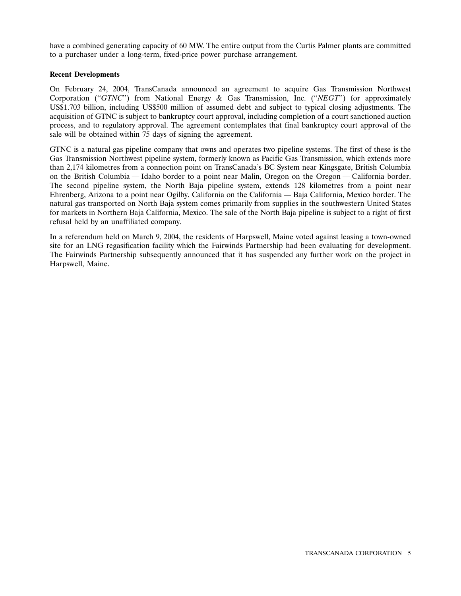have a combined generating capacity of 60 MW. The entire output from the Curtis Palmer plants are committed to a purchaser under a long-term, fixed-price power purchase arrangement.

# **Recent Developments**

On February 24, 2004, TransCanada announced an agreement to acquire Gas Transmission Northwest Corporation (''*GTNC*'') from National Energy & Gas Transmission, Inc. (''*NEGT*'') for approximately US\$1.703 billion, including US\$500 million of assumed debt and subject to typical closing adjustments. The acquisition of GTNC is subject to bankruptcy court approval, including completion of a court sanctioned auction process, and to regulatory approval. The agreement contemplates that final bankruptcy court approval of the sale will be obtained within 75 days of signing the agreement.

GTNC is a natural gas pipeline company that owns and operates two pipeline systems. The first of these is the Gas Transmission Northwest pipeline system, formerly known as Pacific Gas Transmission, which extends more than 2,174 kilometres from a connection point on TransCanada's BC System near Kingsgate, British Columbia on the British Columbia — Idaho border to a point near Malin, Oregon on the Oregon — California border. The second pipeline system, the North Baja pipeline system, extends 128 kilometres from a point near Ehrenberg, Arizona to a point near Ogilby, California on the California — Baja California, Mexico border. The natural gas transported on North Baja system comes primarily from supplies in the southwestern United States for markets in Northern Baja California, Mexico. The sale of the North Baja pipeline is subject to a right of first refusal held by an unaffiliated company.

In a referendum held on March 9, 2004, the residents of Harpswell, Maine voted against leasing a town-owned site for an LNG regasification facility which the Fairwinds Partnership had been evaluating for development. The Fairwinds Partnership subsequently announced that it has suspended any further work on the project in Harpswell, Maine.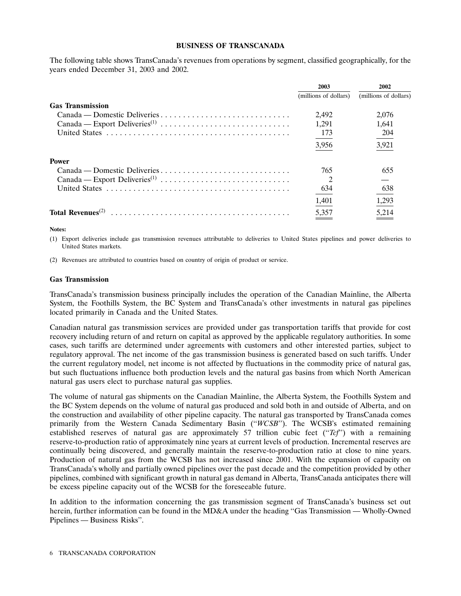#### **BUSINESS OF TRANSCANADA**

The following table shows TransCanada's revenues from operations by segment, classified geographically, for the years ended December 31, 2003 and 2002.

|                                                                                   | 2003                  | 2002                  |
|-----------------------------------------------------------------------------------|-----------------------|-----------------------|
|                                                                                   | (millions of dollars) | (millions of dollars) |
| <b>Gas Transmission</b>                                                           |                       |                       |
| Canada — Domestic Deliveries                                                      | 2.492                 | 2,076                 |
|                                                                                   | 1.291                 | 1.641                 |
|                                                                                   | 173                   | 204                   |
|                                                                                   | 3,956                 | 3,921                 |
| <b>Power</b>                                                                      |                       |                       |
| $Canada - Domestic \ Deliveries \ldots \ldots \ldots \ldots \ldots \ldots \ldots$ | 765                   | 655                   |
|                                                                                   |                       |                       |
|                                                                                   | 634                   | 638                   |
|                                                                                   | 1,401                 | 1,293                 |
| Total Revenues <sup><math>(2)</math></sup>                                        | 5,357                 | 5,214                 |

**Notes:**

(1) Export deliveries include gas transmission revenues attributable to deliveries to United States pipelines and power deliveries to United States markets.

(2) Revenues are attributed to countries based on country of origin of product or service.

#### **Gas Transmission**

TransCanada's transmission business principally includes the operation of the Canadian Mainline, the Alberta System, the Foothills System, the BC System and TransCanada's other investments in natural gas pipelines located primarily in Canada and the United States.

Canadian natural gas transmission services are provided under gas transportation tariffs that provide for cost recovery including return of and return on capital as approved by the applicable regulatory authorities. In some cases, such tariffs are determined under agreements with customers and other interested parties, subject to regulatory approval. The net income of the gas transmission business is generated based on such tariffs. Under the current regulatory model, net income is not affected by fluctuations in the commodity price of natural gas, but such fluctuations influence both production levels and the natural gas basins from which North American natural gas users elect to purchase natural gas supplies.

The volume of natural gas shipments on the Canadian Mainline, the Alberta System, the Foothills System and the BC System depends on the volume of natural gas produced and sold both in and outside of Alberta, and on the construction and availability of other pipeline capacity. The natural gas transported by TransCanada comes primarily from the Western Canada Sedimentary Basin ("*WCSB*"). The WCSB's estimated remaining established reserves of natural gas are approximately 57 trillion cubic feet (''*Tcf*'') with a remaining reserve-to-production ratio of approximately nine years at current levels of production. Incremental reserves are continually being discovered, and generally maintain the reserve-to-production ratio at close to nine years. Production of natural gas from the WCSB has not increased since 2001. With the expansion of capacity on TransCanada's wholly and partially owned pipelines over the past decade and the competition provided by other pipelines, combined with significant growth in natural gas demand in Alberta, TransCanada anticipates there will be excess pipeline capacity out of the WCSB for the foreseeable future.

In addition to the information concerning the gas transmission segment of TransCanada's business set out herein, further information can be found in the MD&A under the heading ''Gas Transmission — Wholly-Owned Pipelines — Business Risks''.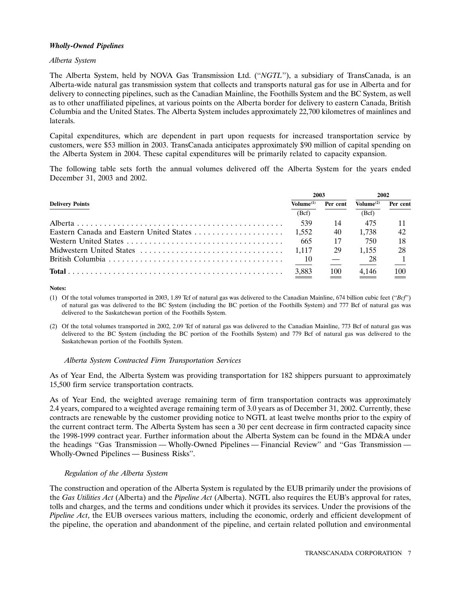# *Wholly-Owned Pipelines*

## *Alberta System*

The Alberta System, held by NOVA Gas Transmission Ltd. (''*NGTL*''), a subsidiary of TransCanada, is an Alberta-wide natural gas transmission system that collects and transports natural gas for use in Alberta and for delivery to connecting pipelines, such as the Canadian Mainline, the Foothills System and the BC System, as well as to other unaffiliated pipelines, at various points on the Alberta border for delivery to eastern Canada, British Columbia and the United States. The Alberta System includes approximately 22,700 kilometres of mainlines and laterals.

Capital expenditures, which are dependent in part upon requests for increased transportation service by customers, were \$53 million in 2003. TransCanada anticipates approximately \$90 million of capital spending on the Alberta System in 2004. These capital expenditures will be primarily related to capacity expansion.

The following table sets forth the annual volumes delivered off the Alberta System for the years ended December 31, 2003 and 2002.

|                        | 2003                  |          | 2002                  |            |
|------------------------|-----------------------|----------|-----------------------|------------|
| <b>Delivery Points</b> | Volume <sup>(1)</sup> | Per cent | Volume <sup>(2)</sup> | Per cent   |
|                        | (Bcf)                 |          | (Bcf)                 |            |
|                        | 539                   | 14       | 475                   |            |
|                        | 1.552                 | 40       | 1.738                 | 42         |
|                        | -665                  | 17       | 750                   | 18         |
|                        | 1.117                 | 29       | 1.155                 | 28         |
| British Columbia       | 10                    |          | 28                    |            |
|                        | $\frac{3,883}{2}$     | 100      | 4,146                 | <b>100</b> |

**Notes:**

(1) Of the total volumes transported in 2003, 1.89 Tcf of natural gas was delivered to the Canadian Mainline, 674 billion cubic feet (''*Bcf*'') of natural gas was delivered to the BC System (including the BC portion of the Foothills System) and 777 Bcf of natural gas was delivered to the Saskatchewan portion of the Foothills System.

(2) Of the total volumes transported in 2002, 2.09 Tcf of natural gas was delivered to the Canadian Mainline, 773 Bcf of natural gas was delivered to the BC System (including the BC portion of the Foothills System) and 779 Bcf of natural gas was delivered to the Saskatchewan portion of the Foothills System.

# *Alberta System Contracted Firm Transportation Services*

As of Year End, the Alberta System was providing transportation for 182 shippers pursuant to approximately 15,500 firm service transportation contracts.

As of Year End, the weighted average remaining term of firm transportation contracts was approximately 2.4 years, compared to a weighted average remaining term of 3.0 years as of December 31, 2002. Currently, these contracts are renewable by the customer providing notice to NGTL at least twelve months prior to the expiry of the current contract term. The Alberta System has seen a 30 per cent decrease in firm contracted capacity since the 1998-1999 contract year. Further information about the Alberta System can be found in the MD&A under the headings ''Gas Transmission — Wholly-Owned Pipelines — Financial Review'' and ''Gas Transmission — Wholly-Owned Pipelines — Business Risks''.

# *Regulation of the Alberta System*

The construction and operation of the Alberta System is regulated by the EUB primarily under the provisions of the *Gas Utilities Act* (Alberta) and the *Pipeline Act* (Alberta). NGTL also requires the EUB's approval for rates, tolls and charges, and the terms and conditions under which it provides its services. Under the provisions of the *Pipeline Act*, the EUB oversees various matters, including the economic, orderly and efficient development of the pipeline, the operation and abandonment of the pipeline, and certain related pollution and environmental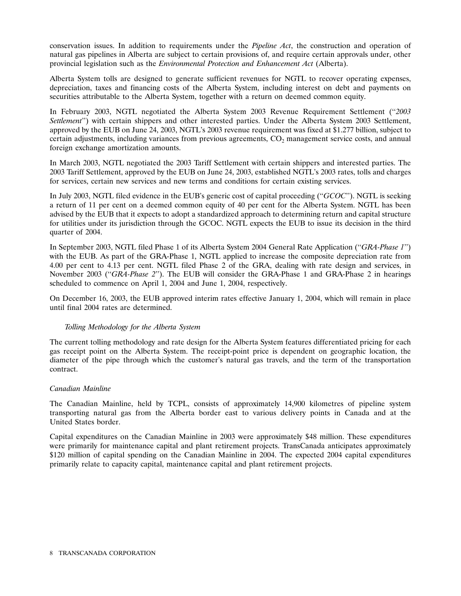conservation issues. In addition to requirements under the *Pipeline Act*, the construction and operation of natural gas pipelines in Alberta are subject to certain provisions of, and require certain approvals under, other provincial legislation such as the *Environmental Protection and Enhancement Act* (Alberta).

Alberta System tolls are designed to generate sufficient revenues for NGTL to recover operating expenses, depreciation, taxes and financing costs of the Alberta System, including interest on debt and payments on securities attributable to the Alberta System, together with a return on deemed common equity.

In February 2003, NGTL negotiated the Alberta System 2003 Revenue Requirement Settlement (''*2003 Settlement*'') with certain shippers and other interested parties. Under the Alberta System 2003 Settlement, approved by the EUB on June 24, 2003, NGTL's 2003 revenue requirement was fixed at \$1.277 billion, subject to certain adjustments, including variances from previous agreements,  $CO<sub>2</sub>$  management service costs, and annual foreign exchange amortization amounts.

In March 2003, NGTL negotiated the 2003 Tariff Settlement with certain shippers and interested parties. The 2003 Tariff Settlement, approved by the EUB on June 24, 2003, established NGTL's 2003 rates, tolls and charges for services, certain new services and new terms and conditions for certain existing services.

In July 2003, NGTL filed evidence in the EUB's generic cost of capital proceeding (''*GCOC*''). NGTL is seeking a return of 11 per cent on a deemed common equity of 40 per cent for the Alberta System. NGTL has been advised by the EUB that it expects to adopt a standardized approach to determining return and capital structure for utilities under its jurisdiction through the GCOC. NGTL expects the EUB to issue its decision in the third quarter of 2004.

In September 2003, NGTL filed Phase 1 of its Alberta System 2004 General Rate Application (''*GRA-Phase 1*'') with the EUB. As part of the GRA-Phase 1, NGTL applied to increase the composite depreciation rate from 4.00 per cent to 4.13 per cent. NGTL filed Phase 2 of the GRA, dealing with rate design and services, in November 2003 (''*GRA-Phase 2*''). The EUB will consider the GRA-Phase 1 and GRA-Phase 2 in hearings scheduled to commence on April 1, 2004 and June 1, 2004, respectively.

On December 16, 2003, the EUB approved interim rates effective January 1, 2004, which will remain in place until final 2004 rates are determined.

# *Tolling Methodology for the Alberta System*

The current tolling methodology and rate design for the Alberta System features differentiated pricing for each gas receipt point on the Alberta System. The receipt-point price is dependent on geographic location, the diameter of the pipe through which the customer's natural gas travels, and the term of the transportation contract.

# *Canadian Mainline*

The Canadian Mainline, held by TCPL, consists of approximately 14,900 kilometres of pipeline system transporting natural gas from the Alberta border east to various delivery points in Canada and at the United States border.

Capital expenditures on the Canadian Mainline in 2003 were approximately \$48 million. These expenditures were primarily for maintenance capital and plant retirement projects. TransCanada anticipates approximately \$120 million of capital spending on the Canadian Mainline in 2004. The expected 2004 capital expenditures primarily relate to capacity capital, maintenance capital and plant retirement projects.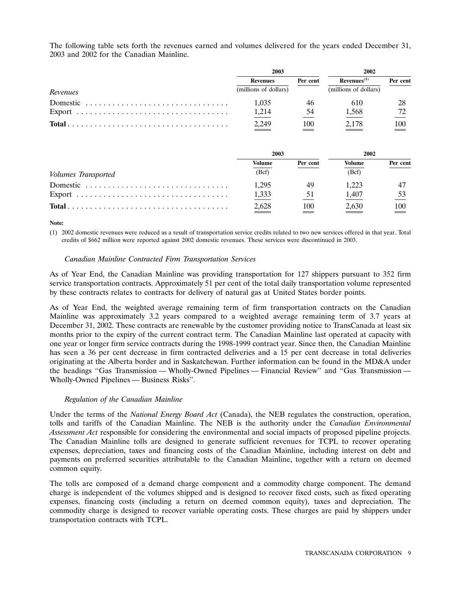The following table sets forth the revenues earned and volumes delivered for the years ended December 31, 2003 and 2002 for the Canadian Mainline.

|          | 2003                  |          | 2002                  |          |
|----------|-----------------------|----------|-----------------------|----------|
|          | <b>Revenues</b>       | Per cent | $Revenues^{(1)}$      | Per cent |
| Revenues | (millions of dollars) |          | (millions of dollars) |          |
| Domestic | 1,035                 |          | 610                   |          |
|          | 1,214                 |          | 1,568                 |          |
|          | 2,249                 | 100      | 2.178                 | 100      |

|                                                                                       | 2003   |          | 2002   |          |
|---------------------------------------------------------------------------------------|--------|----------|--------|----------|
|                                                                                       | Volume | Per cent | Volume | Per cent |
| Volumes Transported                                                                   | (Bcf)  |          | (Bcf)  |          |
| Domestic                                                                              | 1.295  |          | 1.223  |          |
|                                                                                       | 1,333  |          | 1.407  |          |
| $Total \dots \dots \dots \dots \dots \dots \dots \dots \dots \dots \dots \dots \dots$ | 2,628  | 100      | 2.630  | 100      |

**Note:**

(1) 2002 domestic revenues were reduced as a result of transportation service credits related to two new services offered in that year. Total credits of \$662 million were reported against 2002 domestic revenues. These services were discontinued in 2003.

# *Canadian Mainline Contracted Firm Transportation Services*

As of Year End, the Canadian Mainline was providing transportation for 127 shippers pursuant to 352 firm service transportation contracts. Approximately 51 per cent of the total daily transportation volume represented by these contracts relates to contracts for delivery of natural gas at United States border points.

As of Year End, the weighted average remaining term of firm transportation contracts on the Canadian Mainline was approximately 3.2 years compared to a weighted average remaining term of 3.7 years at December 31, 2002. These contracts are renewable by the customer providing notice to TransCanada at least six months prior to the expiry of the current contract term. The Canadian Mainline last operated at capacity with one year or longer firm service contracts during the 1998-1999 contract year. Since then, the Canadian Mainline has seen a 36 per cent decrease in firm contracted deliveries and a 15 per cent decrease in total deliveries originating at the Alberta border and in Saskatchewan. Further information can be found in the MD&A under the headings ''Gas Transmission — Wholly-Owned Pipelines — Financial Review'' and ''Gas Transmission — Wholly-Owned Pipelines — Business Risks''.

# *Regulation of the Canadian Mainline*

Under the terms of the *National Energy Board Act* (Canada), the NEB regulates the construction, operation, tolls and tariffs of the Canadian Mainline. The NEB is the authority under the *Canadian Environmental Assessment Act* responsible for considering the environmental and social impacts of proposed pipeline projects. The Canadian Mainline tolls are designed to generate sufficient revenues for TCPL to recover operating expenses, depreciation, taxes and financing costs of the Canadian Mainline, including interest on debt and payments on preferred securities attributable to the Canadian Mainline, together with a return on deemed common equity.

The tolls are composed of a demand charge component and a commodity charge component. The demand charge is independent of the volumes shipped and is designed to recover fixed costs, such as fixed operating expenses, financing costs (including a return on deemed common equity), taxes and depreciation. The commodity charge is designed to recover variable operating costs. These charges are paid by shippers under transportation contracts with TCPL.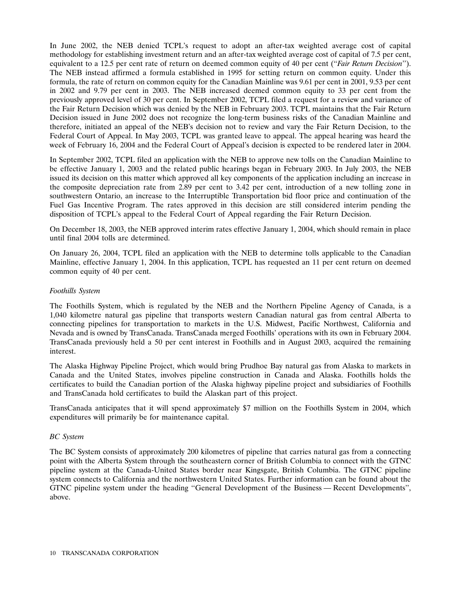In June 2002, the NEB denied TCPL's request to adopt an after-tax weighted average cost of capital methodology for establishing investment return and an after-tax weighted average cost of capital of 7.5 per cent, equivalent to a 12.5 per cent rate of return on deemed common equity of 40 per cent (''*Fair Return Decision*''). The NEB instead affirmed a formula established in 1995 for setting return on common equity. Under this formula, the rate of return on common equity for the Canadian Mainline was 9.61 per cent in 2001, 9.53 per cent in 2002 and 9.79 per cent in 2003. The NEB increased deemed common equity to 33 per cent from the previously approved level of 30 per cent. In September 2002, TCPL filed a request for a review and variance of the Fair Return Decision which was denied by the NEB in February 2003. TCPL maintains that the Fair Return Decision issued in June 2002 does not recognize the long-term business risks of the Canadian Mainline and therefore, initiated an appeal of the NEB's decision not to review and vary the Fair Return Decision, to the Federal Court of Appeal. In May 2003, TCPL was granted leave to appeal. The appeal hearing was heard the week of February 16, 2004 and the Federal Court of Appeal's decision is expected to be rendered later in 2004.

In September 2002, TCPL filed an application with the NEB to approve new tolls on the Canadian Mainline to be effective January 1, 2003 and the related public hearings began in February 2003. In July 2003, the NEB issued its decision on this matter which approved all key components of the application including an increase in the composite depreciation rate from 2.89 per cent to 3.42 per cent, introduction of a new tolling zone in southwestern Ontario, an increase to the Interruptible Transportation bid floor price and continuation of the Fuel Gas Incentive Program. The rates approved in this decision are still considered interim pending the disposition of TCPL's appeal to the Federal Court of Appeal regarding the Fair Return Decision.

On December 18, 2003, the NEB approved interim rates effective January 1, 2004, which should remain in place until final 2004 tolls are determined.

On January 26, 2004, TCPL filed an application with the NEB to determine tolls applicable to the Canadian Mainline, effective January 1, 2004. In this application, TCPL has requested an 11 per cent return on deemed common equity of 40 per cent.

# *Foothills System*

The Foothills System, which is regulated by the NEB and the Northern Pipeline Agency of Canada, is a 1,040 kilometre natural gas pipeline that transports western Canadian natural gas from central Alberta to connecting pipelines for transportation to markets in the U.S. Midwest, Pacific Northwest, California and Nevada and is owned by TransCanada. TransCanada merged Foothills' operations with its own in February 2004. TransCanada previously held a 50 per cent interest in Foothills and in August 2003, acquired the remaining interest.

The Alaska Highway Pipeline Project, which would bring Prudhoe Bay natural gas from Alaska to markets in Canada and the United States, involves pipeline construction in Canada and Alaska. Foothills holds the certificates to build the Canadian portion of the Alaska highway pipeline project and subsidiaries of Foothills and TransCanada hold certificates to build the Alaskan part of this project.

TransCanada anticipates that it will spend approximately \$7 million on the Foothills System in 2004, which expenditures will primarily be for maintenance capital.

#### *BC System*

The BC System consists of approximately 200 kilometres of pipeline that carries natural gas from a connecting point with the Alberta System through the southeastern corner of British Columbia to connect with the GTNC pipeline system at the Canada-United States border near Kingsgate, British Columbia. The GTNC pipeline system connects to California and the northwestern United States. Further information can be found about the GTNC pipeline system under the heading ''General Development of the Business — Recent Developments'', above.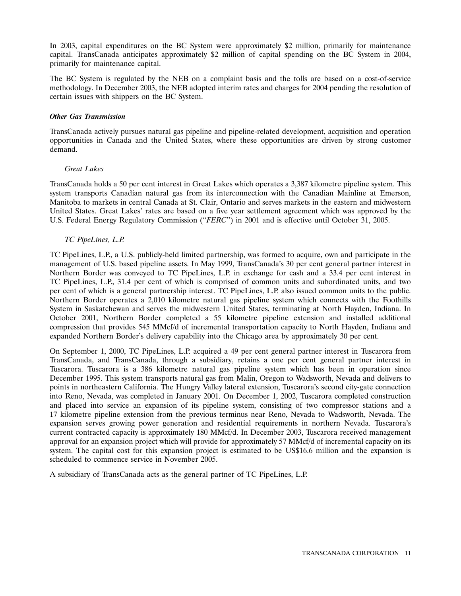In 2003, capital expenditures on the BC System were approximately \$2 million, primarily for maintenance capital. TransCanada anticipates approximately \$2 million of capital spending on the BC System in 2004, primarily for maintenance capital.

The BC System is regulated by the NEB on a complaint basis and the tolls are based on a cost-of-service methodology. In December 2003, the NEB adopted interim rates and charges for 2004 pending the resolution of certain issues with shippers on the BC System.

# *Other Gas Transmission*

TransCanada actively pursues natural gas pipeline and pipeline-related development, acquisition and operation opportunities in Canada and the United States, where these opportunities are driven by strong customer demand.

# *Great Lakes*

TransCanada holds a 50 per cent interest in Great Lakes which operates a 3,387 kilometre pipeline system. This system transports Canadian natural gas from its interconnection with the Canadian Mainline at Emerson, Manitoba to markets in central Canada at St. Clair, Ontario and serves markets in the eastern and midwestern United States. Great Lakes' rates are based on a five year settlement agreement which was approved by the U.S. Federal Energy Regulatory Commission (''*FERC*'') in 2001 and is effective until October 31, 2005.

# *TC PipeLines, L.P.*

TC PipeLines, L.P., a U.S. publicly-held limited partnership, was formed to acquire, own and participate in the management of U.S. based pipeline assets. In May 1999, TransCanada's 30 per cent general partner interest in Northern Border was conveyed to TC PipeLines, L.P. in exchange for cash and a 33.4 per cent interest in TC PipeLines, L.P., 31.4 per cent of which is comprised of common units and subordinated units, and two per cent of which is a general partnership interest. TC PipeLines, L.P. also issued common units to the public. Northern Border operates a 2,010 kilometre natural gas pipeline system which connects with the Foothills System in Saskatchewan and serves the midwestern United States, terminating at North Hayden, Indiana. In October 2001, Northern Border completed a 55 kilometre pipeline extension and installed additional compression that provides 545 MMcf/d of incremental transportation capacity to North Hayden, Indiana and expanded Northern Border's delivery capability into the Chicago area by approximately 30 per cent.

On September 1, 2000, TC PipeLines, L.P. acquired a 49 per cent general partner interest in Tuscarora from TransCanada, and TransCanada, through a subsidiary, retains a one per cent general partner interest in Tuscarora. Tuscarora is a 386 kilometre natural gas pipeline system which has been in operation since December 1995. This system transports natural gas from Malin, Oregon to Wadsworth, Nevada and delivers to points in northeastern California. The Hungry Valley lateral extension, Tuscarora's second city-gate connection into Reno, Nevada, was completed in January 2001. On December 1, 2002, Tuscarora completed construction and placed into service an expansion of its pipeline system, consisting of two compressor stations and a 17 kilometre pipeline extension from the previous terminus near Reno, Nevada to Wadsworth, Nevada. The expansion serves growing power generation and residential requirements in northern Nevada. Tuscarora's current contracted capacity is approximately 180 MMcf/d. In December 2003, Tuscarora received management approval for an expansion project which will provide for approximately 57 MMcf/d of incremental capacity on its system. The capital cost for this expansion project is estimated to be US\$16.6 million and the expansion is scheduled to commence service in November 2005.

A subsidiary of TransCanada acts as the general partner of TC PipeLines, L.P.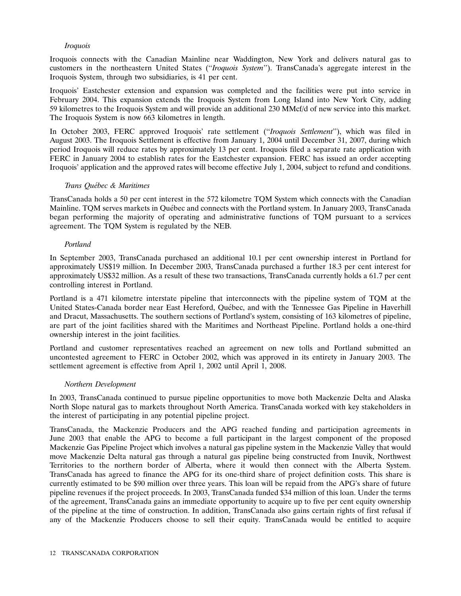# *Iroquois*

Iroquois connects with the Canadian Mainline near Waddington, New York and delivers natural gas to customers in the northeastern United States (''*Iroquois System*''). TransCanada's aggregate interest in the Iroquois System, through two subsidiaries, is 41 per cent.

Iroquois' Eastchester extension and expansion was completed and the facilities were put into service in February 2004. This expansion extends the Iroquois System from Long Island into New York City, adding 59 kilometres to the Iroquois System and will provide an additional 230 MMcf/d of new service into this market. The Iroquois System is now 663 kilometres in length.

In October 2003, FERC approved Iroquois' rate settlement (''*Iroquois Settlement*''), which was filed in August 2003. The Iroquois Settlement is effective from January 1, 2004 until December 31, 2007, during which period Iroquois will reduce rates by approximately 13 per cent. Iroquois filed a separate rate application with FERC in January 2004 to establish rates for the Eastchester expansion. FERC has issued an order accepting Iroquois' application and the approved rates will become effective July 1, 2004, subject to refund and conditions.

# *Trans Qu´ebec & Maritimes*

TransCanada holds a 50 per cent interest in the 572 kilometre TQM System which connects with the Canadian Mainline. TOM serves markets in Ouébec and connects with the Portland system. In January 2003, TransCanada began performing the majority of operating and administrative functions of TQM pursuant to a services agreement. The TQM System is regulated by the NEB.

# *Portland*

In September 2003, TransCanada purchased an additional 10.1 per cent ownership interest in Portland for approximately US\$19 million. In December 2003, TransCanada purchased a further 18.3 per cent interest for approximately US\$32 million. As a result of these two transactions, TransCanada currently holds a 61.7 per cent controlling interest in Portland.

Portland is a 471 kilometre interstate pipeline that interconnects with the pipeline system of TQM at the United States-Canada border near East Hereford, Québec, and with the Tennessee Gas Pipeline in Haverhill and Dracut, Massachusetts. The southern sections of Portland's system, consisting of 163 kilometres of pipeline, are part of the joint facilities shared with the Maritimes and Northeast Pipeline. Portland holds a one-third ownership interest in the joint facilities.

Portland and customer representatives reached an agreement on new tolls and Portland submitted an uncontested agreement to FERC in October 2002, which was approved in its entirety in January 2003. The settlement agreement is effective from April 1, 2002 until April 1, 2008.

# *Northern Development*

In 2003, TransCanada continued to pursue pipeline opportunities to move both Mackenzie Delta and Alaska North Slope natural gas to markets throughout North America. TransCanada worked with key stakeholders in the interest of participating in any potential pipeline project.

TransCanada, the Mackenzie Producers and the APG reached funding and participation agreements in June 2003 that enable the APG to become a full participant in the largest component of the proposed Mackenzie Gas Pipeline Project which involves a natural gas pipeline system in the Mackenzie Valley that would move Mackenzie Delta natural gas through a natural gas pipeline being constructed from Inuvik, Northwest Territories to the northern border of Alberta, where it would then connect with the Alberta System. TransCanada has agreed to finance the APG for its one-third share of project definition costs. This share is currently estimated to be \$90 million over three years. This loan will be repaid from the APG's share of future pipeline revenues if the project proceeds. In 2003, TransCanada funded \$34 million of this loan. Under the terms of the agreement, TransCanada gains an immediate opportunity to acquire up to five per cent equity ownership of the pipeline at the time of construction. In addition, TransCanada also gains certain rights of first refusal if any of the Mackenzie Producers choose to sell their equity. TransCanada would be entitled to acquire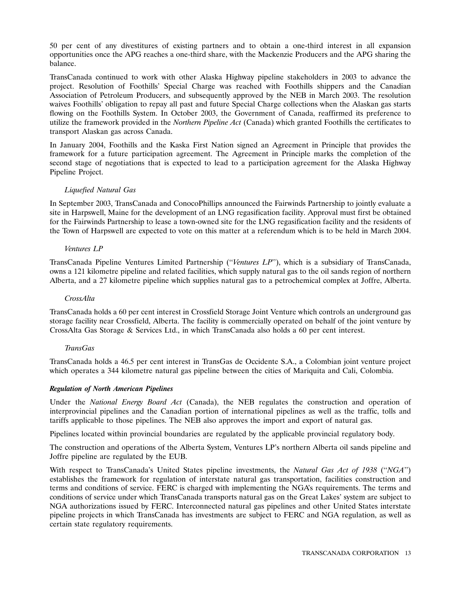50 per cent of any divestitures of existing partners and to obtain a one-third interest in all expansion opportunities once the APG reaches a one-third share, with the Mackenzie Producers and the APG sharing the balance.

TransCanada continued to work with other Alaska Highway pipeline stakeholders in 2003 to advance the project. Resolution of Foothills' Special Charge was reached with Foothills shippers and the Canadian Association of Petroleum Producers, and subsequently approved by the NEB in March 2003. The resolution waives Foothills' obligation to repay all past and future Special Charge collections when the Alaskan gas starts flowing on the Foothills System. In October 2003, the Government of Canada, reaffirmed its preference to utilize the framework provided in the *Northern Pipeline Act* (Canada) which granted Foothills the certificates to transport Alaskan gas across Canada.

In January 2004, Foothills and the Kaska First Nation signed an Agreement in Principle that provides the framework for a future participation agreement. The Agreement in Principle marks the completion of the second stage of negotiations that is expected to lead to a participation agreement for the Alaska Highway Pipeline Project.

# *Liquefied Natural Gas*

In September 2003, TransCanada and ConocoPhillips announced the Fairwinds Partnership to jointly evaluate a site in Harpswell, Maine for the development of an LNG regasification facility. Approval must first be obtained for the Fairwinds Partnership to lease a town-owned site for the LNG regasification facility and the residents of the Town of Harpswell are expected to vote on this matter at a referendum which is to be held in March 2004.

# *Ventures LP*

TransCanada Pipeline Ventures Limited Partnership (''*Ventures LP*''), which is a subsidiary of TransCanada, owns a 121 kilometre pipeline and related facilities, which supply natural gas to the oil sands region of northern Alberta, and a 27 kilometre pipeline which supplies natural gas to a petrochemical complex at Joffre, Alberta.

# *CrossAlta*

TransCanada holds a 60 per cent interest in Crossfield Storage Joint Venture which controls an underground gas storage facility near Crossfield, Alberta. The facility is commercially operated on behalf of the joint venture by CrossAlta Gas Storage & Services Ltd., in which TransCanada also holds a 60 per cent interest.

# *TransGas*

TransCanada holds a 46.5 per cent interest in TransGas de Occidente S.A., a Colombian joint venture project which operates a 344 kilometre natural gas pipeline between the cities of Mariquita and Cali, Colombia.

# *Regulation of North American Pipelines*

Under the *National Energy Board Act* (Canada), the NEB regulates the construction and operation of interprovincial pipelines and the Canadian portion of international pipelines as well as the traffic, tolls and tariffs applicable to those pipelines. The NEB also approves the import and export of natural gas.

Pipelines located within provincial boundaries are regulated by the applicable provincial regulatory body.

The construction and operations of the Alberta System, Ventures LP's northern Alberta oil sands pipeline and Joffre pipeline are regulated by the EUB.

With respect to TransCanada's United States pipeline investments, the *Natural Gas Act of 1938* (''*NGA*'') establishes the framework for regulation of interstate natural gas transportation, facilities construction and terms and conditions of service. FERC is charged with implementing the NGA's requirements. The terms and conditions of service under which TransCanada transports natural gas on the Great Lakes' system are subject to NGA authorizations issued by FERC. Interconnected natural gas pipelines and other United States interstate pipeline projects in which TransCanada has investments are subject to FERC and NGA regulation, as well as certain state regulatory requirements.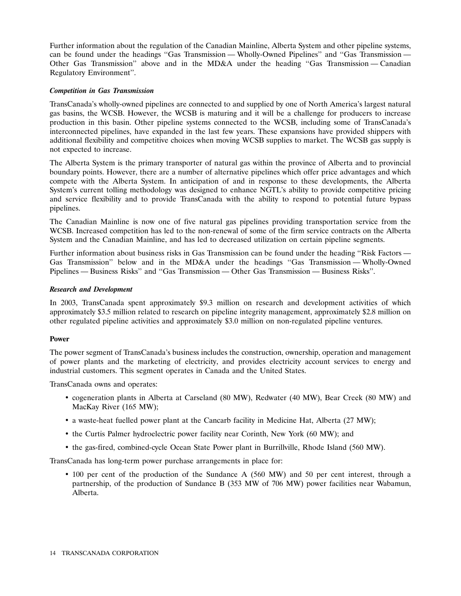Further information about the regulation of the Canadian Mainline, Alberta System and other pipeline systems, can be found under the headings ''Gas Transmission — Wholly-Owned Pipelines'' and ''Gas Transmission — Other Gas Transmission'' above and in the MD&A under the heading ''Gas Transmission — Canadian Regulatory Environment''.

# *Competition in Gas Transmission*

TransCanada's wholly-owned pipelines are connected to and supplied by one of North America's largest natural gas basins, the WCSB. However, the WCSB is maturing and it will be a challenge for producers to increase production in this basin. Other pipeline systems connected to the WCSB, including some of TransCanada's interconnected pipelines, have expanded in the last few years. These expansions have provided shippers with additional flexibility and competitive choices when moving WCSB supplies to market. The WCSB gas supply is not expected to increase.

The Alberta System is the primary transporter of natural gas within the province of Alberta and to provincial boundary points. However, there are a number of alternative pipelines which offer price advantages and which compete with the Alberta System. In anticipation of and in response to these developments, the Alberta System's current tolling methodology was designed to enhance NGTL's ability to provide competitive pricing and service flexibility and to provide TransCanada with the ability to respond to potential future bypass pipelines.

The Canadian Mainline is now one of five natural gas pipelines providing transportation service from the WCSB. Increased competition has led to the non-renewal of some of the firm service contracts on the Alberta System and the Canadian Mainline, and has led to decreased utilization on certain pipeline segments.

Further information about business risks in Gas Transmission can be found under the heading "Risk Factors — Gas Transmission'' below and in the MD&A under the headings ''Gas Transmission — Wholly-Owned Pipelines — Business Risks'' and ''Gas Transmission — Other Gas Transmission — Business Risks''.

# *Research and Development*

In 2003, TransCanada spent approximately \$9.3 million on research and development activities of which approximately \$3.5 million related to research on pipeline integrity management, approximately \$2.8 million on other regulated pipeline activities and approximately \$3.0 million on non-regulated pipeline ventures.

#### **Power**

The power segment of TransCanada's business includes the construction, ownership, operation and management of power plants and the marketing of electricity, and provides electricity account services to energy and industrial customers. This segment operates in Canada and the United States.

TransCanada owns and operates:

- cogeneration plants in Alberta at Carseland (80 MW), Redwater (40 MW), Bear Creek (80 MW) and MacKay River (165 MW);
- a waste-heat fuelled power plant at the Cancarb facility in Medicine Hat, Alberta (27 MW);
- the Curtis Palmer hydroelectric power facility near Corinth, New York (60 MW); and
- the gas-fired, combined-cycle Ocean State Power plant in Burrillville, Rhode Island (560 MW).

TransCanada has long-term power purchase arrangements in place for:

• 100 per cent of the production of the Sundance A (560 MW) and 50 per cent interest, through a partnership, of the production of Sundance B (353 MW of 706 MW) power facilities near Wabamun, Alberta.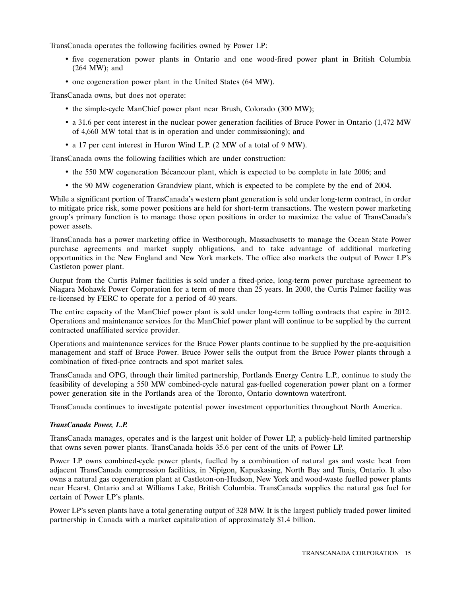TransCanada operates the following facilities owned by Power LP:

- five cogeneration power plants in Ontario and one wood-fired power plant in British Columbia (264 MW); and
- one cogeneration power plant in the United States (64 MW).

TransCanada owns, but does not operate:

- the simple-cycle ManChief power plant near Brush, Colorado (300 MW);
- a 31.6 per cent interest in the nuclear power generation facilities of Bruce Power in Ontario (1,472 MW of 4,660 MW total that is in operation and under commissioning); and
- a 17 per cent interest in Huron Wind L.P. (2 MW of a total of 9 MW).

TransCanada owns the following facilities which are under construction:

- the 550 MW cogeneration Bécancour plant, which is expected to be complete in late 2006; and
- the 90 MW cogeneration Grandview plant, which is expected to be complete by the end of 2004.

While a significant portion of TransCanada's western plant generation is sold under long-term contract, in order to mitigate price risk, some power positions are held for short-term transactions. The western power marketing group's primary function is to manage those open positions in order to maximize the value of TransCanada's power assets.

TransCanada has a power marketing office in Westborough, Massachusetts to manage the Ocean State Power purchase agreements and market supply obligations, and to take advantage of additional marketing opportunities in the New England and New York markets. The office also markets the output of Power LP's Castleton power plant.

Output from the Curtis Palmer facilities is sold under a fixed-price, long-term power purchase agreement to Niagara Mohawk Power Corporation for a term of more than 25 years. In 2000, the Curtis Palmer facility was re-licensed by FERC to operate for a period of 40 years.

The entire capacity of the ManChief power plant is sold under long-term tolling contracts that expire in 2012. Operations and maintenance services for the ManChief power plant will continue to be supplied by the current contracted unaffiliated service provider.

Operations and maintenance services for the Bruce Power plants continue to be supplied by the pre-acquisition management and staff of Bruce Power. Bruce Power sells the output from the Bruce Power plants through a combination of fixed-price contracts and spot market sales.

TransCanada and OPG, through their limited partnership, Portlands Energy Centre L.P., continue to study the feasibility of developing a 550 MW combined-cycle natural gas-fuelled cogeneration power plant on a former power generation site in the Portlands area of the Toronto, Ontario downtown waterfront.

TransCanada continues to investigate potential power investment opportunities throughout North America.

#### *TransCanada Power, L.P.*

TransCanada manages, operates and is the largest unit holder of Power LP, a publicly-held limited partnership that owns seven power plants. TransCanada holds 35.6 per cent of the units of Power LP.

Power LP owns combined-cycle power plants, fuelled by a combination of natural gas and waste heat from adjacent TransCanada compression facilities, in Nipigon, Kapuskasing, North Bay and Tunis, Ontario. It also owns a natural gas cogeneration plant at Castleton-on-Hudson, New York and wood-waste fuelled power plants near Hearst, Ontario and at Williams Lake, British Columbia. TransCanada supplies the natural gas fuel for certain of Power LP's plants.

Power LP's seven plants have a total generating output of 328 MW. It is the largest publicly traded power limited partnership in Canada with a market capitalization of approximately \$1.4 billion.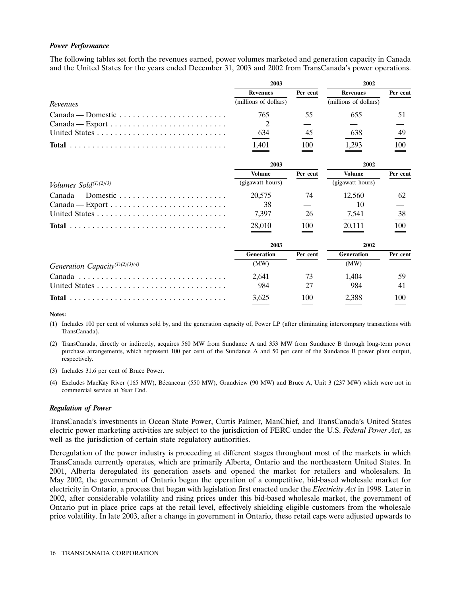## *Power Performance*

The following tables set forth the revenues earned, power volumes marketed and generation capacity in Canada and the United States for the years ended December 31, 2003 and 2002 from TransCanada's power operations.

|                                                                         | 2003                  |          | 2002                  |          |
|-------------------------------------------------------------------------|-----------------------|----------|-----------------------|----------|
|                                                                         | <b>Revenues</b>       | Per cent | <b>Revenues</b>       | Per cent |
| Revenues                                                                | (millions of dollars) |          | (millions of dollars) |          |
| $Canada - Domestic \dots \dots \dots \dots \dots \dots \dots \dots$     | 765                   | 55       | 655                   | 51       |
| $Canada - Expert \dots \dots \dots \dots \dots \dots \dots \dots \dots$ | 2                     |          |                       |          |
|                                                                         | 634                   | 45       | 638                   | 49       |
|                                                                         | 1,401                 | 100      | 1,293                 | 100      |
|                                                                         | 2003                  |          | 2002                  |          |
|                                                                         | <b>Volume</b>         | Per cent | <b>Volume</b>         | Per cent |
| Volumes $Sold^{(1)(2)(3)}$                                              | (gigawatt hours)      |          | (gigawatt hours)      |          |
| $Canada - Domestic \dots \dots \dots \dots \dots \dots \dots \dots$     | 20,575                | 74       | 12,560                | 62       |
|                                                                         | 38                    |          | 10                    |          |
|                                                                         | 7,397                 | 26       | 7,541                 | 38       |
|                                                                         | 28,010                | 100      | 20,111                | 100      |
|                                                                         | 2003                  |          | 2002                  |          |
|                                                                         | Generation            | Per cent | Generation            | Per cent |
| Generation Capacity <sup>(1)(2)(3)(4)</sup>                             | (MW)                  |          | (MW)                  |          |
|                                                                         | 2,641                 | 73       | 1,404                 | 59       |

(4) Excludes MacKay River (165 MW), Becancour (550 MW), Grandview (90 MW) and Bruce A, Unit 3 (237 MW) which were not in ´ commercial service at Year End.

United States . . . . . . . . . . . . . . . . . . . . . . . . . . . . . 984 27 984 41 **Total** ................................... 3,625 100 2,388 100

(1) Includes 100 per cent of volumes sold by, and the generation capacity of, Power LP (after eliminating intercompany transactions with

(2) TransCanada, directly or indirectly, acquires 560 MW from Sundance A and 353 MW from Sundance B through long-term power purchase arrangements, which represent 100 per cent of the Sundance A and 50 per cent of the Sundance B power plant output,

#### *Regulation of Power*

TransCanada).

respectively.

(3) Includes 31.6 per cent of Bruce Power.

**Notes:**

TransCanada's investments in Ocean State Power, Curtis Palmer, ManChief, and TransCanada's United States electric power marketing activities are subject to the jurisdiction of FERC under the U.S. *Federal Power Act*, as well as the jurisdiction of certain state regulatory authorities.

Deregulation of the power industry is proceeding at different stages throughout most of the markets in which TransCanada currently operates, which are primarily Alberta, Ontario and the northeastern United States. In 2001, Alberta deregulated its generation assets and opened the market for retailers and wholesalers. In May 2002, the government of Ontario began the operation of a competitive, bid-based wholesale market for electricity in Ontario, a process that began with legislation first enacted under the *Electricity Act* in 1998. Later in 2002, after considerable volatility and rising prices under this bid-based wholesale market, the government of Ontario put in place price caps at the retail level, effectively shielding eligible customers from the wholesale price volatility. In late 2003, after a change in government in Ontario, these retail caps were adjusted upwards to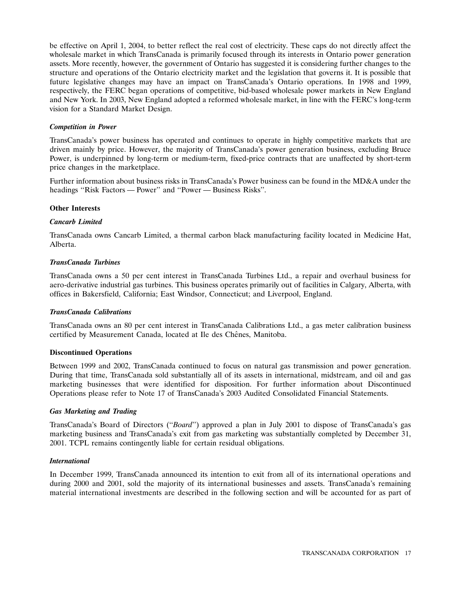be effective on April 1, 2004, to better reflect the real cost of electricity. These caps do not directly affect the wholesale market in which TransCanada is primarily focused through its interests in Ontario power generation assets. More recently, however, the government of Ontario has suggested it is considering further changes to the structure and operations of the Ontario electricity market and the legislation that governs it. It is possible that future legislative changes may have an impact on TransCanada's Ontario operations. In 1998 and 1999, respectively, the FERC began operations of competitive, bid-based wholesale power markets in New England and New York. In 2003, New England adopted a reformed wholesale market, in line with the FERC's long-term vision for a Standard Market Design.

## *Competition in Power*

TransCanada's power business has operated and continues to operate in highly competitive markets that are driven mainly by price. However, the majority of TransCanada's power generation business, excluding Bruce Power, is underpinned by long-term or medium-term, fixed-price contracts that are unaffected by short-term price changes in the marketplace.

Further information about business risks in TransCanada's Power business can be found in the MD&A under the headings ''Risk Factors — Power'' and ''Power — Business Risks''.

#### **Other Interests**

# *Cancarb Limited*

TransCanada owns Cancarb Limited, a thermal carbon black manufacturing facility located in Medicine Hat, Alberta.

#### *TransCanada Turbines*

TransCanada owns a 50 per cent interest in TransCanada Turbines Ltd., a repair and overhaul business for aero-derivative industrial gas turbines. This business operates primarily out of facilities in Calgary, Alberta, with offices in Bakersfield, California; East Windsor, Connecticut; and Liverpool, England.

#### *TransCanada Calibrations*

TransCanada owns an 80 per cent interest in TransCanada Calibrations Ltd., a gas meter calibration business certified by Measurement Canada, located at Ile des Chênes, Manitoba.

## **Discontinued Operations**

Between 1999 and 2002, TransCanada continued to focus on natural gas transmission and power generation. During that time, TransCanada sold substantially all of its assets in international, midstream, and oil and gas marketing businesses that were identified for disposition. For further information about Discontinued Operations please refer to Note 17 of TransCanada's 2003 Audited Consolidated Financial Statements.

#### *Gas Marketing and Trading*

TransCanada's Board of Directors (''*Board*'') approved a plan in July 2001 to dispose of TransCanada's gas marketing business and TransCanada's exit from gas marketing was substantially completed by December 31, 2001. TCPL remains contingently liable for certain residual obligations.

#### *International*

In December 1999, TransCanada announced its intention to exit from all of its international operations and during 2000 and 2001, sold the majority of its international businesses and assets. TransCanada's remaining material international investments are described in the following section and will be accounted for as part of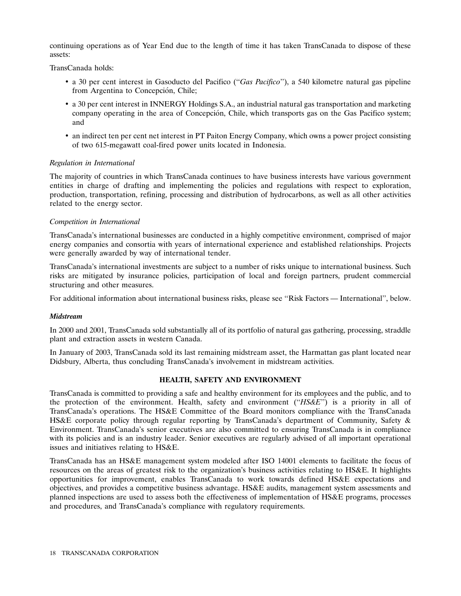continuing operations as of Year End due to the length of time it has taken TransCanada to dispose of these assets:

TransCanada holds:

- a 30 per cent interest in Gasoducto del Pacifico (''*Gas Pacifico*''), a 540 kilometre natural gas pipeline from Argentina to Concepción, Chile;
- a 30 per cent interest in INNERGY Holdings S.A., an industrial natural gas transportation and marketing company operating in the area of Concepcion, Chile, which transports gas on the Gas Pacifico system; ´ and
- an indirect ten per cent net interest in PT Paiton Energy Company, which owns a power project consisting of two 615-megawatt coal-fired power units located in Indonesia.

# *Regulation in International*

The majority of countries in which TransCanada continues to have business interests have various government entities in charge of drafting and implementing the policies and regulations with respect to exploration, production, transportation, refining, processing and distribution of hydrocarbons, as well as all other activities related to the energy sector.

# *Competition in International*

TransCanada's international businesses are conducted in a highly competitive environment, comprised of major energy companies and consortia with years of international experience and established relationships. Projects were generally awarded by way of international tender.

TransCanada's international investments are subject to a number of risks unique to international business. Such risks are mitigated by insurance policies, participation of local and foreign partners, prudent commercial structuring and other measures.

For additional information about international business risks, please see ''Risk Factors — International'', below.

#### *Midstream*

In 2000 and 2001, TransCanada sold substantially all of its portfolio of natural gas gathering, processing, straddle plant and extraction assets in western Canada.

In January of 2003, TransCanada sold its last remaining midstream asset, the Harmattan gas plant located near Didsbury, Alberta, thus concluding TransCanada's involvement in midstream activities.

#### **HEALTH, SAFETY AND ENVIRONMENT**

TransCanada is committed to providing a safe and healthy environment for its employees and the public, and to the protection of the environment. Health, safety and environment (''*HS&E*'') is a priority in all of TransCanada's operations. The HS&E Committee of the Board monitors compliance with the TransCanada HS&E corporate policy through regular reporting by TransCanada's department of Community, Safety & Environment. TransCanada's senior executives are also committed to ensuring TransCanada is in compliance with its policies and is an industry leader. Senior executives are regularly advised of all important operational issues and initiatives relating to HS&E.

TransCanada has an HS&E management system modeled after ISO 14001 elements to facilitate the focus of resources on the areas of greatest risk to the organization's business activities relating to HS&E. It highlights opportunities for improvement, enables TransCanada to work towards defined HS&E expectations and objectives, and provides a competitive business advantage. HS&E audits, management system assessments and planned inspections are used to assess both the effectiveness of implementation of HS&E programs, processes and procedures, and TransCanada's compliance with regulatory requirements.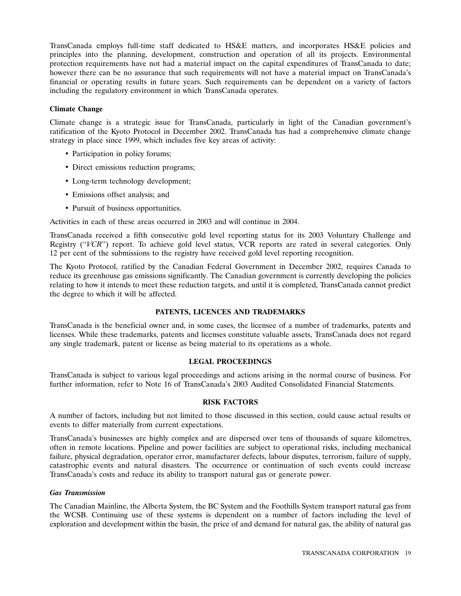TransCanada employs full-time staff dedicated to HS&E matters, and incorporates HS&E policies and principles into the planning, development, construction and operation of all its projects. Environmental protection requirements have not had a material impact on the capital expenditures of TransCanada to date; however there can be no assurance that such requirements will not have a material impact on TransCanada's financial or operating results in future years. Such requirements can be dependent on a variety of factors including the regulatory environment in which TransCanada operates.

# **Climate Change**

Climate change is a strategic issue for TransCanada, particularly in light of the Canadian government's ratification of the Kyoto Protocol in December 2002. TransCanada has had a comprehensive climate change strategy in place since 1999, which includes five key areas of activity:

- Participation in policy forums;
- Direct emissions reduction programs;
- Long-term technology development;
- Emissions offset analysis; and
- Pursuit of business opportunities.

Activities in each of these areas occurred in 2003 and will continue in 2004.

TransCanada received a fifth consecutive gold level reporting status for its 2003 Voluntary Challenge and Registry (''*VCR*'') report. To achieve gold level status, VCR reports are rated in several categories. Only 12 per cent of the submissions to the registry have received gold level reporting recognition.

The Kyoto Protocol, ratified by the Canadian Federal Government in December 2002, requires Canada to reduce its greenhouse gas emissions significantly. The Canadian government is currently developing the policies relating to how it intends to meet these reduction targets, and until it is completed, TransCanada cannot predict the degree to which it will be affected.

# **PATENTS, LICENCES AND TRADEMARKS**

TransCanada is the beneficial owner and, in some cases, the licensee of a number of trademarks, patents and licenses. While these trademarks, patents and licenses constitute valuable assets, TransCanada does not regard any single trademark, patent or license as being material to its operations as a whole.

# **LEGAL PROCEEDINGS**

TransCanada is subject to various legal proceedings and actions arising in the normal course of business. For further information, refer to Note 16 of TransCanada's 2003 Audited Consolidated Financial Statements.

# **RISK FACTORS**

A number of factors, including but not limited to those discussed in this section, could cause actual results or events to differ materially from current expectations.

TransCanada's businesses are highly complex and are dispersed over tens of thousands of square kilometres, often in remote locations. Pipeline and power facilities are subject to operational risks, including mechanical failure, physical degradation, operator error, manufacturer defects, labour disputes, terrorism, failure of supply, catastrophic events and natural disasters. The occurrence or continuation of such events could increase TransCanada's costs and reduce its ability to transport natural gas or generate power.

# *Gas Transmission*

The Canadian Mainline, the Alberta System, the BC System and the Foothills System transport natural gas from the WCSB. Continuing use of these systems is dependent on a number of factors including the level of exploration and development within the basin, the price of and demand for natural gas, the ability of natural gas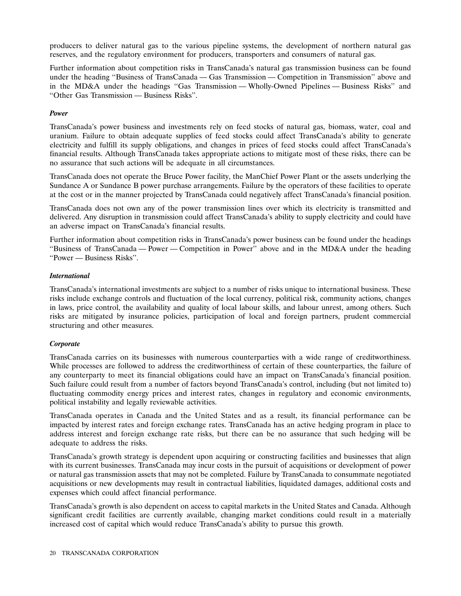producers to deliver natural gas to the various pipeline systems, the development of northern natural gas reserves, and the regulatory environment for producers, transporters and consumers of natural gas.

Further information about competition risks in TransCanada's natural gas transmission business can be found under the heading ''Business of TransCanada — Gas Transmission — Competition in Transmission'' above and in the MD&A under the headings ''Gas Transmission — Wholly-Owned Pipelines — Business Risks'' and ''Other Gas Transmission — Business Risks''.

# *Power*

TransCanada's power business and investments rely on feed stocks of natural gas, biomass, water, coal and uranium. Failure to obtain adequate supplies of feed stocks could affect TransCanada's ability to generate electricity and fulfill its supply obligations, and changes in prices of feed stocks could affect TransCanada's financial results. Although TransCanada takes appropriate actions to mitigate most of these risks, there can be no assurance that such actions will be adequate in all circumstances.

TransCanada does not operate the Bruce Power facility, the ManChief Power Plant or the assets underlying the Sundance A or Sundance B power purchase arrangements. Failure by the operators of these facilities to operate at the cost or in the manner projected by TransCanada could negatively affect TransCanada's financial position.

TransCanada does not own any of the power transmission lines over which its electricity is transmitted and delivered. Any disruption in transmission could affect TransCanada's ability to supply electricity and could have an adverse impact on TransCanada's financial results.

Further information about competition risks in TransCanada's power business can be found under the headings ''Business of TransCanada — Power — Competition in Power'' above and in the MD&A under the heading ''Power — Business Risks''.

# *International*

TransCanada's international investments are subject to a number of risks unique to international business. These risks include exchange controls and fluctuation of the local currency, political risk, community actions, changes in laws, price control, the availability and quality of local labour skills, and labour unrest, among others. Such risks are mitigated by insurance policies, participation of local and foreign partners, prudent commercial structuring and other measures.

# *Corporate*

TransCanada carries on its businesses with numerous counterparties with a wide range of creditworthiness. While processes are followed to address the creditworthiness of certain of these counterparties, the failure of any counterparty to meet its financial obligations could have an impact on TransCanada's financial position. Such failure could result from a number of factors beyond TransCanada's control, including (but not limited to) fluctuating commodity energy prices and interest rates, changes in regulatory and economic environments, political instability and legally reviewable activities.

TransCanada operates in Canada and the United States and as a result, its financial performance can be impacted by interest rates and foreign exchange rates. TransCanada has an active hedging program in place to address interest and foreign exchange rate risks, but there can be no assurance that such hedging will be adequate to address the risks.

TransCanada's growth strategy is dependent upon acquiring or constructing facilities and businesses that align with its current businesses. TransCanada may incur costs in the pursuit of acquisitions or development of power or natural gas transmission assets that may not be completed. Failure by TransCanada to consummate negotiated acquisitions or new developments may result in contractual liabilities, liquidated damages, additional costs and expenses which could affect financial performance.

TransCanada's growth is also dependent on access to capital markets in the United States and Canada. Although significant credit facilities are currently available, changing market conditions could result in a materially increased cost of capital which would reduce TransCanada's ability to pursue this growth.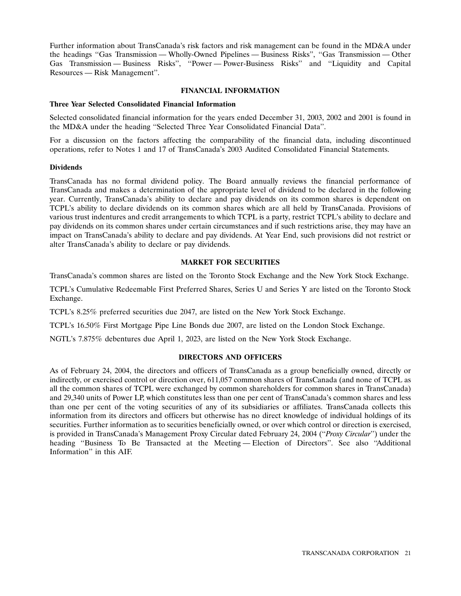Further information about TransCanada's risk factors and risk management can be found in the MD&A under the headings ''Gas Transmission — Wholly-Owned Pipelines — Business Risks'', ''Gas Transmission — Other Gas Transmission — Business Risks'', ''Power — Power-Business Risks'' and ''Liquidity and Capital Resources — Risk Management''.

# **FINANCIAL INFORMATION**

## **Three Year Selected Consolidated Financial Information**

Selected consolidated financial information for the years ended December 31, 2003, 2002 and 2001 is found in the MD&A under the heading ''Selected Three Year Consolidated Financial Data''.

For a discussion on the factors affecting the comparability of the financial data, including discontinued operations, refer to Notes 1 and 17 of TransCanada's 2003 Audited Consolidated Financial Statements.

# **Dividends**

TransCanada has no formal dividend policy. The Board annually reviews the financial performance of TransCanada and makes a determination of the appropriate level of dividend to be declared in the following year. Currently, TransCanada's ability to declare and pay dividends on its common shares is dependent on TCPL's ability to declare dividends on its common shares which are all held by TransCanada. Provisions of various trust indentures and credit arrangements to which TCPL is a party, restrict TCPL's ability to declare and pay dividends on its common shares under certain circumstances and if such restrictions arise, they may have an impact on TransCanada's ability to declare and pay dividends. At Year End, such provisions did not restrict or alter TransCanada's ability to declare or pay dividends.

# **MARKET FOR SECURITIES**

TransCanada's common shares are listed on the Toronto Stock Exchange and the New York Stock Exchange.

TCPL's Cumulative Redeemable First Preferred Shares, Series U and Series Y are listed on the Toronto Stock Exchange.

TCPL's 8.25% preferred securities due 2047, are listed on the New York Stock Exchange.

TCPL's 16.50% First Mortgage Pipe Line Bonds due 2007, are listed on the London Stock Exchange.

NGTL's 7.875% debentures due April 1, 2023, are listed on the New York Stock Exchange.

# **DIRECTORS AND OFFICERS**

As of February 24, 2004, the directors and officers of TransCanada as a group beneficially owned, directly or indirectly, or exercised control or direction over, 611,057 common shares of TransCanada (and none of TCPL as all the common shares of TCPL were exchanged by common shareholders for common shares in TransCanada) and 29,340 units of Power LP, which constitutes less than one per cent of TransCanada's common shares and less than one per cent of the voting securities of any of its subsidiaries or affiliates. TransCanada collects this information from its directors and officers but otherwise has no direct knowledge of individual holdings of its securities. Further information as to securities beneficially owned, or over which control or direction is exercised, is provided in TransCanada's Management Proxy Circular dated February 24, 2004 (''*Proxy Circular*'') under the heading ''Business To Be Transacted at the Meeting — Election of Directors''. See also ''Additional Information'' in this AIF.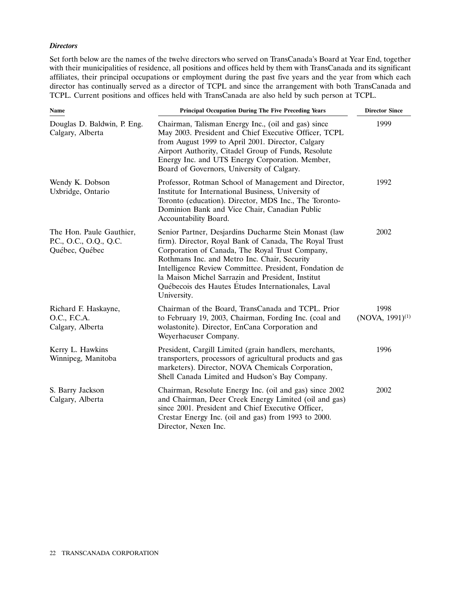## *Directors*

Set forth below are the names of the twelve directors who served on TransCanada's Board at Year End, together with their municipalities of residence, all positions and offices held by them with TransCanada and its significant affiliates, their principal occupations or employment during the past five years and the year from which each director has continually served as a director of TCPL and since the arrangement with both TransCanada and TCPL. Current positions and offices held with TransCanada are also held by such person at TCPL.

| <b>Name</b>                                                          | <b>Principal Occupation During The Five Preceding Years</b>                                                                                                                                                                                                                                                                                                                                            | <b>Director Since</b>        |
|----------------------------------------------------------------------|--------------------------------------------------------------------------------------------------------------------------------------------------------------------------------------------------------------------------------------------------------------------------------------------------------------------------------------------------------------------------------------------------------|------------------------------|
| Douglas D. Baldwin, P. Eng.<br>Calgary, Alberta                      | Chairman, Talisman Energy Inc., (oil and gas) since<br>May 2003. President and Chief Executive Officer, TCPL<br>from August 1999 to April 2001. Director, Calgary<br>Airport Authority, Citadel Group of Funds, Resolute<br>Energy Inc. and UTS Energy Corporation. Member,<br>Board of Governors, University of Calgary.                                                                              | 1999                         |
| Wendy K. Dobson<br>Uxbridge, Ontario                                 | Professor, Rotman School of Management and Director,<br>Institute for International Business, University of<br>Toronto (education). Director, MDS Inc., The Toronto-<br>Dominion Bank and Vice Chair, Canadian Public<br>Accountability Board.                                                                                                                                                         | 1992                         |
| The Hon. Paule Gauthier,<br>P.C., O.C., O.Q., Q.C.<br>Québec, Québec | Senior Partner, Desjardins Ducharme Stein Monast (law<br>firm). Director, Royal Bank of Canada, The Royal Trust<br>Corporation of Canada, The Royal Trust Company,<br>Rothmans Inc. and Metro Inc. Chair, Security<br>Intelligence Review Committee. President, Fondation de<br>la Maison Michel Sarrazin and President, Institut<br>Québecois des Hautes Études Internationales, Laval<br>University. | 2002                         |
| Richard F. Haskayne,<br>O.C., F.C.A.<br>Calgary, Alberta             | Chairman of the Board, TransCanada and TCPL. Prior<br>to February 19, 2003, Chairman, Fording Inc. (coal and<br>wolastonite). Director, EnCana Corporation and<br>Weyerhaeuser Company.                                                                                                                                                                                                                | 1998<br>$(NOVA, 1991)^{(1)}$ |
| Kerry L. Hawkins<br>Winnipeg, Manitoba                               | President, Cargill Limited (grain handlers, merchants,<br>transporters, processors of agricultural products and gas<br>marketers). Director, NOVA Chemicals Corporation,<br>Shell Canada Limited and Hudson's Bay Company.                                                                                                                                                                             | 1996                         |
| S. Barry Jackson<br>Calgary, Alberta                                 | Chairman, Resolute Energy Inc. (oil and gas) since 2002<br>and Chairman, Deer Creek Energy Limited (oil and gas)<br>since 2001. President and Chief Executive Officer,<br>Crestar Energy Inc. (oil and gas) from 1993 to 2000.<br>Director, Nexen Inc.                                                                                                                                                 | 2002                         |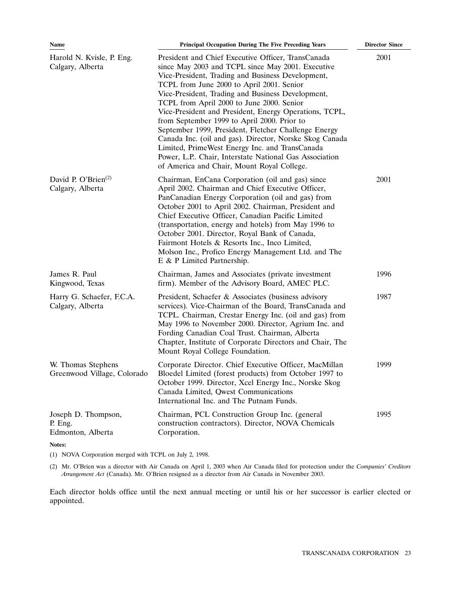| Name                                                | <b>Principal Occupation During The Five Preceding Years</b>                                                                                                                                                                                                                                                                                                                                                                                                                                                                                                                                                                                                                                      | <b>Director Since</b> |
|-----------------------------------------------------|--------------------------------------------------------------------------------------------------------------------------------------------------------------------------------------------------------------------------------------------------------------------------------------------------------------------------------------------------------------------------------------------------------------------------------------------------------------------------------------------------------------------------------------------------------------------------------------------------------------------------------------------------------------------------------------------------|-----------------------|
| Harold N. Kvisle, P. Eng.<br>Calgary, Alberta       | President and Chief Executive Officer, TransCanada<br>since May 2003 and TCPL since May 2001. Executive<br>Vice-President, Trading and Business Development,<br>TCPL from June 2000 to April 2001. Senior<br>Vice-President, Trading and Business Development,<br>TCPL from April 2000 to June 2000. Senior<br>Vice-President and President, Energy Operations, TCPL,<br>from September 1999 to April 2000. Prior to<br>September 1999, President, Fletcher Challenge Energy<br>Canada Inc. (oil and gas). Director, Norske Skog Canada<br>Limited, PrimeWest Energy Inc. and TransCanada<br>Power, L.P Chair, Interstate National Gas Association<br>of America and Chair, Mount Royal College. | 2001                  |
| David P. O'Brien <sup>(2)</sup><br>Calgary, Alberta | Chairman, EnCana Corporation (oil and gas) since<br>April 2002. Chairman and Chief Executive Officer,<br>PanCanadian Energy Corporation (oil and gas) from<br>October 2001 to April 2002. Chairman, President and<br>Chief Executive Officer, Canadian Pacific Limited<br>(transportation, energy and hotels) from May 1996 to<br>October 2001. Director, Royal Bank of Canada,<br>Fairmont Hotels & Resorts Inc., Inco Limited,<br>Molson Inc., Profico Energy Management Ltd. and The<br>E & P Limited Partnership.                                                                                                                                                                            | 2001                  |
| James R. Paul<br>Kingwood, Texas                    | Chairman, James and Associates (private investment<br>firm). Member of the Advisory Board, AMEC PLC.                                                                                                                                                                                                                                                                                                                                                                                                                                                                                                                                                                                             | 1996                  |
| Harry G. Schaefer, F.C.A.<br>Calgary, Alberta       | President, Schaefer & Associates (business advisory<br>services). Vice-Chairman of the Board, TransCanada and<br>TCPL. Chairman, Crestar Energy Inc. (oil and gas) from<br>May 1996 to November 2000. Director, Agrium Inc. and<br>Fording Canadian Coal Trust. Chairman, Alberta<br>Chapter, Institute of Corporate Directors and Chair, The<br>Mount Royal College Foundation.                                                                                                                                                                                                                                                                                                                 | 1987                  |
| W. Thomas Stephens<br>Greenwood Village, Colorado   | Corporate Director. Chief Executive Officer, MacMillan<br>Bloedel Limited (forest products) from October 1997 to<br>October 1999. Director, Xcel Energy Inc., Norske Skog<br>Canada Limited, Qwest Communications<br>International Inc. and The Putnam Funds.                                                                                                                                                                                                                                                                                                                                                                                                                                    | 1999                  |
| Joseph D. Thompson,<br>P. Eng.<br>Edmonton, Alberta | Chairman, PCL Construction Group Inc. (general<br>construction contractors). Director, NOVA Chemicals<br>Corporation.                                                                                                                                                                                                                                                                                                                                                                                                                                                                                                                                                                            | 1995                  |
| Notes:                                              |                                                                                                                                                                                                                                                                                                                                                                                                                                                                                                                                                                                                                                                                                                  |                       |

(1) NOVA Corporation merged with TCPL on July 2, 1998.

(2) Mr. O'Brien was a director with Air Canada on April 1, 2003 when Air Canada filed for protection under the *Companies' Creditors Arrangement Act* (Canada). Mr. O'Brien resigned as a director from Air Canada in November 2003.

Each director holds office until the next annual meeting or until his or her successor is earlier elected or appointed.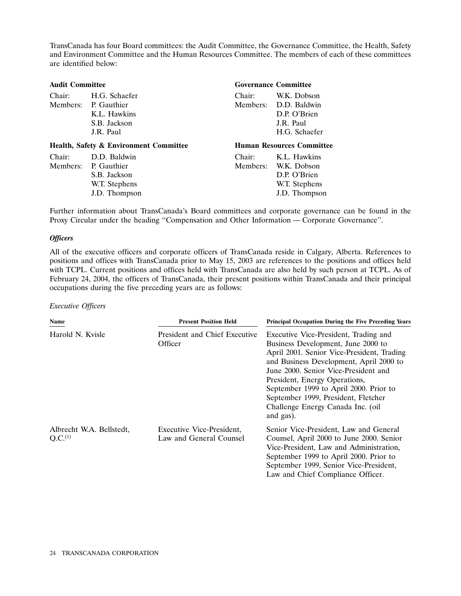TransCanada has four Board committees: the Audit Committee, the Governance Committee, the Health, Safety and Environment Committee and the Human Resources Committee. The members of each of these committees are identified below:

| <b>Audit Committee</b> |                                                   |        | <b>Governance Committee</b>      |
|------------------------|---------------------------------------------------|--------|----------------------------------|
| Chair:                 | H.G. Schaefer                                     | Chair: | W.K. Dobson                      |
|                        | Members: P. Gauthier                              |        | Members: D.D. Baldwin            |
|                        | K.L. Hawkins                                      |        | D.P. O'Brien                     |
|                        | S.B. Jackson                                      |        | J.R. Paul                        |
|                        | J.R. Paul                                         |        | H.G. Schaefer                    |
|                        |                                                   |        |                                  |
|                        | <b>Health, Safety &amp; Environment Committee</b> |        | <b>Human Resources Committee</b> |
| Chair:                 | D.D. Baldwin                                      | Chair: | K.L. Hawkins                     |
|                        | Members: P. Gauthier                              |        | Members: W.K. Dobson             |
|                        | S.B. Jackson                                      |        | D.P. O'Brien                     |
|                        | W.T. Stephens                                     |        | W.T. Stephens                    |
|                        | J.D. Thompson                                     |        | J.D. Thompson                    |

Further information about TransCanada's Board committees and corporate governance can be found in the Proxy Circular under the heading ''Compensation and Other Information — Corporate Governance''.

#### *Officers*

All of the executive officers and corporate officers of TransCanada reside in Calgary, Alberta. References to positions and offices with TransCanada prior to May 15, 2003 are references to the positions and offices held with TCPL. Current positions and offices held with TransCanada are also held by such person at TCPL. As of February 24, 2004, the officers of TransCanada, their present positions within TransCanada and their principal occupations during the five preceding years are as follows:

## *Executive Officers*

| Name                                            | <b>Present Position Held</b>                         | <b>Principal Occupation During the Five Preceding Years</b>                                                                                                                                                                                                                                                                                                                      |  |  |
|-------------------------------------------------|------------------------------------------------------|----------------------------------------------------------------------------------------------------------------------------------------------------------------------------------------------------------------------------------------------------------------------------------------------------------------------------------------------------------------------------------|--|--|
| Harold N. Kvisle                                | President and Chief Executive<br>Officer             | Executive Vice-President, Trading and<br>Business Development, June 2000 to<br>April 2001. Senior Vice-President, Trading<br>and Business Development, April 2000 to<br>June 2000. Senior Vice-President and<br>President, Energy Operations,<br>September 1999 to April 2000. Prior to<br>September 1999, President, Fletcher<br>Challenge Energy Canada Inc. (oil<br>and gas). |  |  |
| Albrecht W.A. Bellstedt,<br>O.C. <sup>(1)</sup> | Executive Vice-President,<br>Law and General Counsel | Senior Vice-President, Law and General<br>Counsel, April 2000 to June 2000. Senior<br>Vice-President, Law and Administration,<br>September 1999 to April 2000. Prior to<br>September 1999, Senior Vice-President,<br>Law and Chief Compliance Officer.                                                                                                                           |  |  |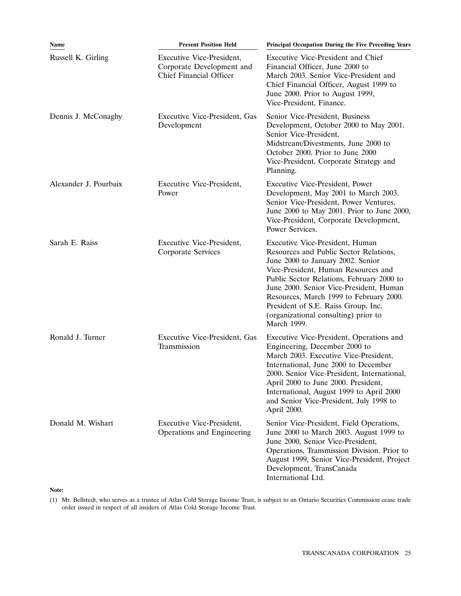| Name                  | <b>Present Position Held</b>                                                             | Principal Occupation During the Five Preceding Years                                                                                                                                                                                                                                                                                                                                   |
|-----------------------|------------------------------------------------------------------------------------------|----------------------------------------------------------------------------------------------------------------------------------------------------------------------------------------------------------------------------------------------------------------------------------------------------------------------------------------------------------------------------------------|
| Russell K. Girling    | Executive Vice-President,<br>Corporate Development and<br><b>Chief Financial Officer</b> | Executive Vice-President and Chief<br>Financial Officer, June 2000 to<br>March 2003. Senior Vice-President and<br>Chief Financial Officer, August 1999 to<br>June 2000. Prior to August 1999,<br>Vice-President, Finance.                                                                                                                                                              |
| Dennis J. McConaghy   | Executive Vice-President, Gas<br>Development                                             | Senior Vice-President, Business<br>Development, October 2000 to May 2001.<br>Senior Vice-President,<br>Midstream/Divestments, June 2000 to<br>October 2000. Prior to June 2000<br>Vice-President, Corporate Strategy and<br>Planning.                                                                                                                                                  |
| Alexander J. Pourbaix | Executive Vice-President,<br>Power                                                       | Executive Vice-President, Power<br>Development, May 2001 to March 2003.<br>Senior Vice-President, Power Ventures,<br>June 2000 to May 2001. Prior to June 2000,<br>Vice-President, Corporate Development,<br>Power Services.                                                                                                                                                           |
| Sarah E. Raiss        | Executive Vice-President,<br>Corporate Services                                          | Executive Vice-President, Human<br>Resources and Public Sector Relations,<br>June 2000 to January 2002. Senior<br>Vice-President, Human Resources and<br>Public Sector Relations, February 2000 to<br>June 2000. Senior Vice-President, Human<br>Resources, March 1999 to February 2000.<br>President of S.E. Raiss Group, Inc.<br>(organizational consulting) prior to<br>March 1999. |
| Ronald J. Turner      | Executive Vice-President, Gas<br>Transmission                                            | Executive Vice-President, Operations and<br>Engineering, December 2000 to<br>March 2003. Executive Vice-President,<br>International, June 2000 to December<br>2000. Senior Vice-President, International,<br>April 2000 to June 2000. President,<br>International, August 1999 to April 2000<br>and Senior Vice-President, July 1998 to<br>April 2000.                                 |
| Donald M. Wishart     | Executive Vice-President,<br>Operations and Engineering                                  | Senior Vice-President, Field Operations,<br>June 2000 to March 2003. August 1999 to<br>June 2000, Senior Vice-President,<br>Operations, Transmission Division. Prior to<br>August 1999, Senior Vice-President, Project<br>Development, TransCanada<br>International Ltd.                                                                                                               |

# **Note:**

(1) Mr. Bellstedt, who serves as a trustee of Atlas Cold Storage Income Trust, is subject to an Ontario Securities Commission cease trade order issued in respect of all insiders of Atlas Cold Storage Income Trust.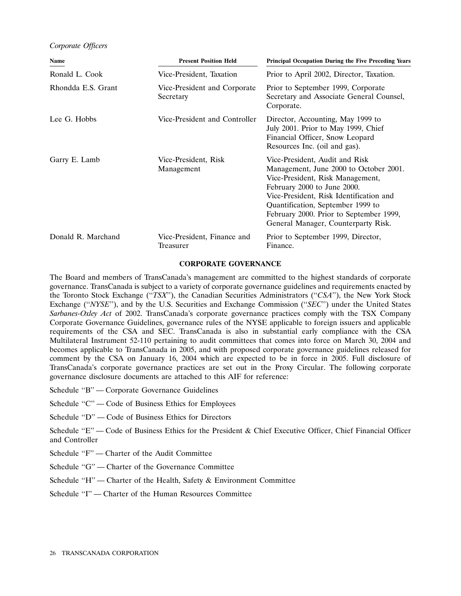## *Corporate Officers*

| Name               | <b>Present Position Held</b>              | <b>Principal Occupation During the Five Preceding Years</b>                                                                                                                                                                                                                                                   |
|--------------------|-------------------------------------------|---------------------------------------------------------------------------------------------------------------------------------------------------------------------------------------------------------------------------------------------------------------------------------------------------------------|
| Ronald L. Cook     | Vice-President, Taxation                  | Prior to April 2002, Director, Taxation.                                                                                                                                                                                                                                                                      |
| Rhondda E.S. Grant | Vice-President and Corporate<br>Secretary | Prior to September 1999, Corporate<br>Secretary and Associate General Counsel,<br>Corporate.                                                                                                                                                                                                                  |
| Lee G. Hobbs       | Vice-President and Controller             | Director, Accounting, May 1999 to<br>July 2001. Prior to May 1999, Chief<br>Financial Officer, Snow Leopard<br>Resources Inc. (oil and gas).                                                                                                                                                                  |
| Garry E. Lamb      | Vice-President, Risk<br>Management        | Vice-President, Audit and Risk<br>Management, June 2000 to October 2001.<br>Vice-President, Risk Management,<br>February 2000 to June 2000.<br>Vice-President, Risk Identification and<br>Quantification, September 1999 to<br>February 2000. Prior to September 1999,<br>General Manager, Counterparty Risk. |
| Donald R. Marchand | Vice-President, Finance and<br>Treasurer  | Prior to September 1999, Director,<br>Finance.                                                                                                                                                                                                                                                                |

#### **CORPORATE GOVERNANCE**

The Board and members of TransCanada's management are committed to the highest standards of corporate governance. TransCanada is subject to a variety of corporate governance guidelines and requirements enacted by the Toronto Stock Exchange (''*TSX*''), the Canadian Securities Administrators (''*CSA*''), the New York Stock Exchange ("*NYSE*"), and by the U.S. Securities and Exchange Commission ("*SEC*") under the United States *Sarbanes-Oxley Act* of 2002. TransCanada's corporate governance practices comply with the TSX Company Corporate Governance Guidelines, governance rules of the NYSE applicable to foreign issuers and applicable requirements of the CSA and SEC. TransCanada is also in substantial early compliance with the CSA Multilateral Instrument 52-110 pertaining to audit committees that comes into force on March 30, 2004 and becomes applicable to TransCanada in 2005, and with proposed corporate governance guidelines released for comment by the CSA on January 16, 2004 which are expected to be in force in 2005. Full disclosure of TransCanada's corporate governance practices are set out in the Proxy Circular. The following corporate governance disclosure documents are attached to this AIF for reference:

- Schedule ''B'' Corporate Governance Guidelines
- Schedule "C" Code of Business Ethics for Employees
- Schedule ''D'' Code of Business Ethics for Directors
- Schedule "E" Code of Business Ethics for the President & Chief Executive Officer, Chief Financial Officer and Controller
- Schedule "F" Charter of the Audit Committee
- Schedule "G" Charter of the Governance Committee
- Schedule "H" Charter of the Health, Safety & Environment Committee
- Schedule "I" Charter of the Human Resources Committee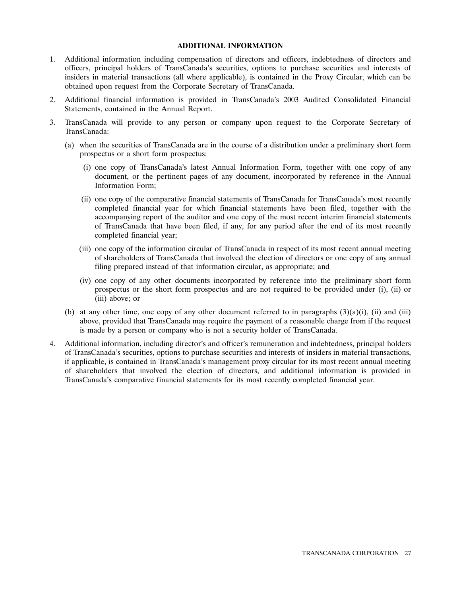# **ADDITIONAL INFORMATION**

- 1. Additional information including compensation of directors and officers, indebtedness of directors and officers, principal holders of TransCanada's securities, options to purchase securities and interests of insiders in material transactions (all where applicable), is contained in the Proxy Circular, which can be obtained upon request from the Corporate Secretary of TransCanada.
- 2. Additional financial information is provided in TransCanada's 2003 Audited Consolidated Financial Statements, contained in the Annual Report.
- 3. TransCanada will provide to any person or company upon request to the Corporate Secretary of TransCanada:
	- (a) when the securities of TransCanada are in the course of a distribution under a preliminary short form prospectus or a short form prospectus:
		- (i) one copy of TransCanada's latest Annual Information Form, together with one copy of any document, or the pertinent pages of any document, incorporated by reference in the Annual Information Form;
		- (ii) one copy of the comparative financial statements of TransCanada for TransCanada's most recently completed financial year for which financial statements have been filed, together with the accompanying report of the auditor and one copy of the most recent interim financial statements of TransCanada that have been filed, if any, for any period after the end of its most recently completed financial year;
		- (iii) one copy of the information circular of TransCanada in respect of its most recent annual meeting of shareholders of TransCanada that involved the election of directors or one copy of any annual filing prepared instead of that information circular, as appropriate; and
		- (iv) one copy of any other documents incorporated by reference into the preliminary short form prospectus or the short form prospectus and are not required to be provided under (i), (ii) or (iii) above; or
	- (b) at any other time, one copy of any other document referred to in paragraphs  $(3)(a)(i)$ , (ii) and (iii) above, provided that TransCanada may require the payment of a reasonable charge from if the request is made by a person or company who is not a security holder of TransCanada.
- 4. Additional information, including director's and officer's remuneration and indebtedness, principal holders of TransCanada's securities, options to purchase securities and interests of insiders in material transactions, if applicable, is contained in TransCanada's management proxy circular for its most recent annual meeting of shareholders that involved the election of directors, and additional information is provided in TransCanada's comparative financial statements for its most recently completed financial year.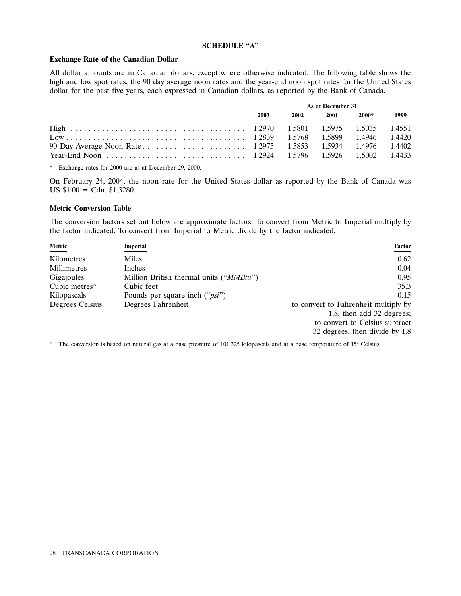# **SCHEDULE ''A''**

#### **Exchange Rate of the Canadian Dollar**

All dollar amounts are in Canadian dollars, except where otherwise indicated. The following table shows the high and low spot rates, the 90 day average noon rates and the year-end noon spot rates for the United States dollar for the past five years, each expressed in Canadian dollars, as reported by the Bank of Canada.

| As at December 31 |      |      |       |      |
|-------------------|------|------|-------|------|
| 2003              | 2002 | 2001 | 2000* | 1999 |
|                   |      |      |       |      |
|                   |      |      |       |      |
|                   |      |      |       |      |
|                   |      |      |       |      |

\* Exchange rates for 2000 are as at December 29, 2000.

On February 24, 2004, the noon rate for the United States dollar as reported by the Bank of Canada was US  $$1.00 = \text{Cdn. } $1.3280.$ 

# **Metric Conversion Table**

The conversion factors set out below are approximate factors. To convert from Metric to Imperial multiply by the factor indicated. To convert from Imperial to Metric divide by the factor indicated.

| Metric          | Imperial                                         | <b>Factor</b>                        |
|-----------------|--------------------------------------------------|--------------------------------------|
| Kilometres      | Miles                                            | 0.62                                 |
| Millimetres     | Inches                                           | 0.04                                 |
| Gigajoules      | Million British thermal units (" <i>MMBtu</i> ") | 0.95                                 |
| Cubic metres*   | Cubic feet                                       | 35.3                                 |
| Kilopascals     | Pounds per square inch (" <i>psi</i> ")          | 0.15                                 |
| Degrees Celsius | Degrees Fahrenheit                               | to convert to Fahrenheit multiply by |
|                 |                                                  | 1.8, then add 32 degrees;            |
|                 |                                                  | to convert to Celsius subtract       |
|                 |                                                  | 32 degrees, then divide by 1.8       |

\* The conversion is based on natural gas at a base pressure of 101.325 kilopascals and at a base temperature of 15° Celsius.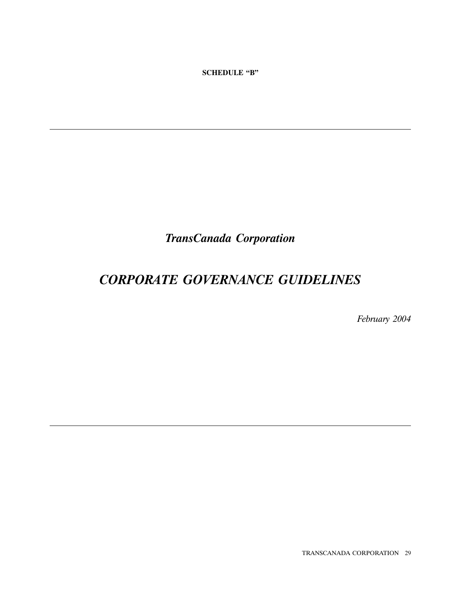**SCHEDULE ''B''**

*TransCanada Corporation*

# *CORPORATE GOVERNANCE GUIDELINES*

*February 2004*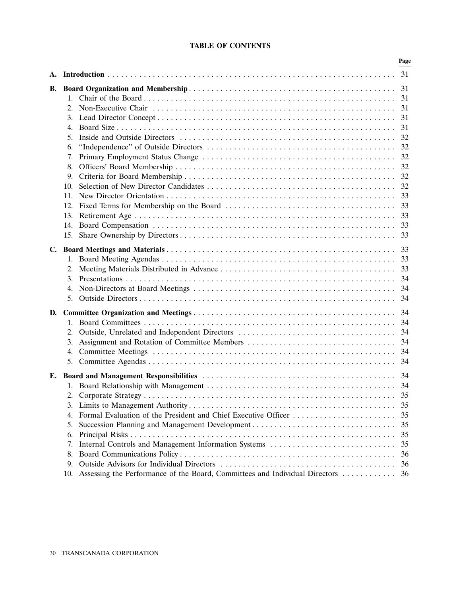|    |                                                                                                                                                                                                                                                        | Page                                                           |
|----|--------------------------------------------------------------------------------------------------------------------------------------------------------------------------------------------------------------------------------------------------------|----------------------------------------------------------------|
|    |                                                                                                                                                                                                                                                        | 31                                                             |
| В. | 2.<br>3.<br>4.<br>5.<br>6.<br>7.<br>8.<br>9.<br>10.<br>11.<br>12.<br>13.<br>14.                                                                                                                                                                        | 31<br>31<br>31<br>31<br>32<br>32<br>32<br>33<br>33<br>33<br>33 |
|    | 2.<br>3.<br>4.<br>5.                                                                                                                                                                                                                                   | 33<br>33<br>33<br>34<br>34                                     |
| D. | 2.<br>3.<br>4.<br>5.                                                                                                                                                                                                                                   | 34<br>34<br>34<br>34<br>34<br>34                               |
| Е. | 3.<br>Formal Evaluation of the President and Chief Executive Officer<br>4.<br>5.<br>6.<br>Internal Controls and Management Information Systems<br>7.<br>8.<br>9.<br>Assessing the Performance of the Board, Committees and Individual Directors<br>10. | 35<br>35<br>35<br>35<br>35<br>35<br>36<br>36<br>36             |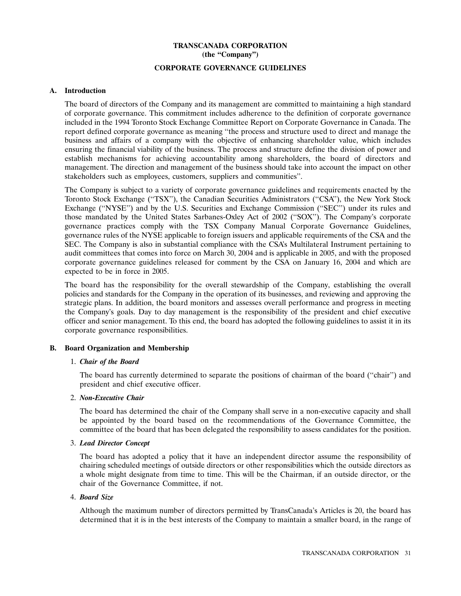# **TRANSCANADA CORPORATION (the ''Company'')**

# **CORPORATE GOVERNANCE GUIDELINES**

## **A. Introduction**

The board of directors of the Company and its management are committed to maintaining a high standard of corporate governance. This commitment includes adherence to the definition of corporate governance included in the 1994 Toronto Stock Exchange Committee Report on Corporate Governance in Canada. The report defined corporate governance as meaning ''the process and structure used to direct and manage the business and affairs of a company with the objective of enhancing shareholder value, which includes ensuring the financial viability of the business. The process and structure define the division of power and establish mechanisms for achieving accountability among shareholders, the board of directors and management. The direction and management of the business should take into account the impact on other stakeholders such as employees, customers, suppliers and communities''.

The Company is subject to a variety of corporate governance guidelines and requirements enacted by the Toronto Stock Exchange (''TSX''), the Canadian Securities Administrators (''CSA''), the New York Stock Exchange ("NYSE") and by the U.S. Securities and Exchange Commission ("SEC") under its rules and those mandated by the United States Sarbanes-Oxley Act of 2002 (''SOX''). The Company's corporate governance practices comply with the TSX Company Manual Corporate Governance Guidelines, governance rules of the NYSE applicable to foreign issuers and applicable requirements of the CSA and the SEC. The Company is also in substantial compliance with the CSA's Multilateral Instrument pertaining to audit committees that comes into force on March 30, 2004 and is applicable in 2005, and with the proposed corporate governance guidelines released for comment by the CSA on January 16, 2004 and which are expected to be in force in 2005.

The board has the responsibility for the overall stewardship of the Company, establishing the overall policies and standards for the Company in the operation of its businesses, and reviewing and approving the strategic plans. In addition, the board monitors and assesses overall performance and progress in meeting the Company's goals. Day to day management is the responsibility of the president and chief executive officer and senior management. To this end, the board has adopted the following guidelines to assist it in its corporate governance responsibilities.

# **B. Board Organization and Membership**

#### 1. *Chair of the Board*

The board has currently determined to separate the positions of chairman of the board (''chair'') and president and chief executive officer.

# 2. *Non-Executive Chair*

The board has determined the chair of the Company shall serve in a non-executive capacity and shall be appointed by the board based on the recommendations of the Governance Committee, the committee of the board that has been delegated the responsibility to assess candidates for the position.

#### 3. *Lead Director Concept*

The board has adopted a policy that it have an independent director assume the responsibility of chairing scheduled meetings of outside directors or other responsibilities which the outside directors as a whole might designate from time to time. This will be the Chairman, if an outside director, or the chair of the Governance Committee, if not.

#### 4. *Board Size*

Although the maximum number of directors permitted by TransCanada's Articles is 20, the board has determined that it is in the best interests of the Company to maintain a smaller board, in the range of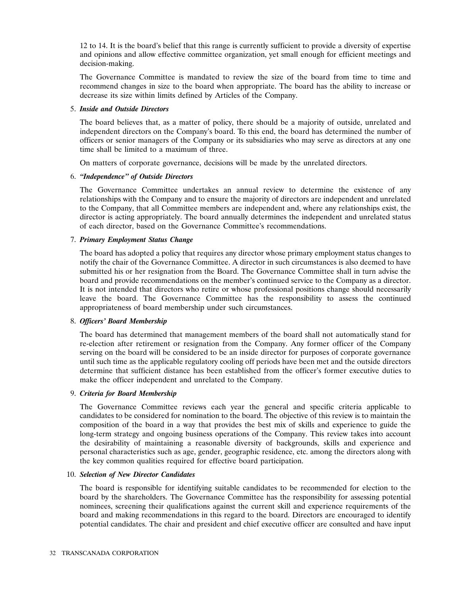12 to 14. It is the board's belief that this range is currently sufficient to provide a diversity of expertise and opinions and allow effective committee organization, yet small enough for efficient meetings and decision-making.

The Governance Committee is mandated to review the size of the board from time to time and recommend changes in size to the board when appropriate. The board has the ability to increase or decrease its size within limits defined by Articles of the Company.

#### 5. *Inside and Outside Directors*

The board believes that, as a matter of policy, there should be a majority of outside, unrelated and independent directors on the Company's board. To this end, the board has determined the number of officers or senior managers of the Company or its subsidiaries who may serve as directors at any one time shall be limited to a maximum of three.

On matters of corporate governance, decisions will be made by the unrelated directors.

#### 6. *''Independence'' of Outside Directors*

The Governance Committee undertakes an annual review to determine the existence of any relationships with the Company and to ensure the majority of directors are independent and unrelated to the Company, that all Committee members are independent and, where any relationships exist, the director is acting appropriately. The board annually determines the independent and unrelated status of each director, based on the Governance Committee's recommendations.

#### 7. *Primary Employment Status Change*

The board has adopted a policy that requires any director whose primary employment status changes to notify the chair of the Governance Committee. A director in such circumstances is also deemed to have submitted his or her resignation from the Board. The Governance Committee shall in turn advise the board and provide recommendations on the member's continued service to the Company as a director. It is not intended that directors who retire or whose professional positions change should necessarily leave the board. The Governance Committee has the responsibility to assess the continued appropriateness of board membership under such circumstances.

#### 8. *Officers' Board Membership*

The board has determined that management members of the board shall not automatically stand for re-election after retirement or resignation from the Company. Any former officer of the Company serving on the board will be considered to be an inside director for purposes of corporate governance until such time as the applicable regulatory cooling off periods have been met and the outside directors determine that sufficient distance has been established from the officer's former executive duties to make the officer independent and unrelated to the Company.

#### 9. *Criteria for Board Membership*

The Governance Committee reviews each year the general and specific criteria applicable to candidates to be considered for nomination to the board. The objective of this review is to maintain the composition of the board in a way that provides the best mix of skills and experience to guide the long-term strategy and ongoing business operations of the Company. This review takes into account the desirability of maintaining a reasonable diversity of backgrounds, skills and experience and personal characteristics such as age, gender, geographic residence, etc. among the directors along with the key common qualities required for effective board participation.

#### 10. *Selection of New Director Candidates*

The board is responsible for identifying suitable candidates to be recommended for election to the board by the shareholders. The Governance Committee has the responsibility for assessing potential nominees, screening their qualifications against the current skill and experience requirements of the board and making recommendations in this regard to the board. Directors are encouraged to identify potential candidates. The chair and president and chief executive officer are consulted and have input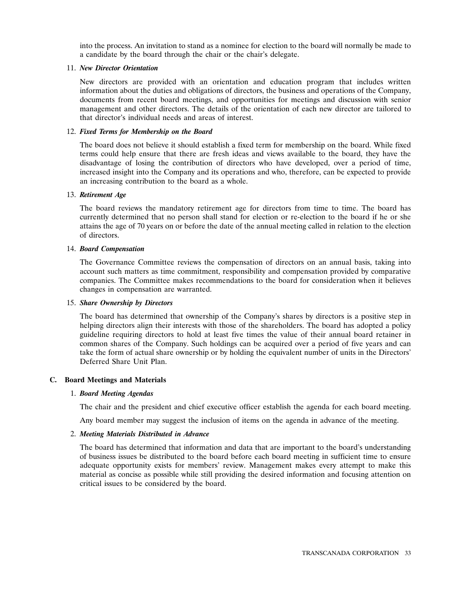into the process. An invitation to stand as a nominee for election to the board will normally be made to a candidate by the board through the chair or the chair's delegate.

# 11. *New Director Orientation*

New directors are provided with an orientation and education program that includes written information about the duties and obligations of directors, the business and operations of the Company, documents from recent board meetings, and opportunities for meetings and discussion with senior management and other directors. The details of the orientation of each new director are tailored to that director's individual needs and areas of interest.

# 12. *Fixed Terms for Membership on the Board*

The board does not believe it should establish a fixed term for membership on the board. While fixed terms could help ensure that there are fresh ideas and views available to the board, they have the disadvantage of losing the contribution of directors who have developed, over a period of time, increased insight into the Company and its operations and who, therefore, can be expected to provide an increasing contribution to the board as a whole.

# 13. *Retirement Age*

The board reviews the mandatory retirement age for directors from time to time. The board has currently determined that no person shall stand for election or re-election to the board if he or she attains the age of 70 years on or before the date of the annual meeting called in relation to the election of directors.

# 14. *Board Compensation*

The Governance Committee reviews the compensation of directors on an annual basis, taking into account such matters as time commitment, responsibility and compensation provided by comparative companies. The Committee makes recommendations to the board for consideration when it believes changes in compensation are warranted.

#### 15. *Share Ownership by Directors*

The board has determined that ownership of the Company's shares by directors is a positive step in helping directors align their interests with those of the shareholders. The board has adopted a policy guideline requiring directors to hold at least five times the value of their annual board retainer in common shares of the Company. Such holdings can be acquired over a period of five years and can take the form of actual share ownership or by holding the equivalent number of units in the Directors' Deferred Share Unit Plan.

# **C. Board Meetings and Materials**

# 1. *Board Meeting Agendas*

The chair and the president and chief executive officer establish the agenda for each board meeting.

Any board member may suggest the inclusion of items on the agenda in advance of the meeting.

# 2. *Meeting Materials Distributed in Advance*

The board has determined that information and data that are important to the board's understanding of business issues be distributed to the board before each board meeting in sufficient time to ensure adequate opportunity exists for members' review. Management makes every attempt to make this material as concise as possible while still providing the desired information and focusing attention on critical issues to be considered by the board.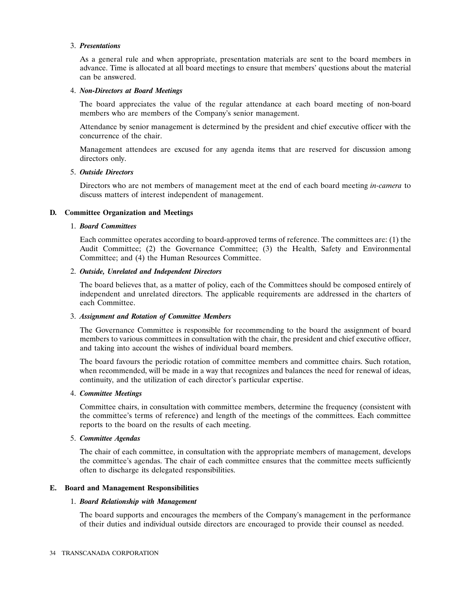## 3. *Presentations*

As a general rule and when appropriate, presentation materials are sent to the board members in advance. Time is allocated at all board meetings to ensure that members' questions about the material can be answered.

# 4. *Non-Directors at Board Meetings*

The board appreciates the value of the regular attendance at each board meeting of non-board members who are members of the Company's senior management.

Attendance by senior management is determined by the president and chief executive officer with the concurrence of the chair.

Management attendees are excused for any agenda items that are reserved for discussion among directors only.

# 5. *Outside Directors*

Directors who are not members of management meet at the end of each board meeting *in-camera* to discuss matters of interest independent of management.

# **D. Committee Organization and Meetings**

# 1. *Board Committees*

Each committee operates according to board-approved terms of reference. The committees are: (1) the Audit Committee; (2) the Governance Committee; (3) the Health, Safety and Environmental Committee; and (4) the Human Resources Committee.

# 2. *Outside, Unrelated and Independent Directors*

The board believes that, as a matter of policy, each of the Committees should be composed entirely of independent and unrelated directors. The applicable requirements are addressed in the charters of each Committee.

## 3. *Assignment and Rotation of Committee Members*

The Governance Committee is responsible for recommending to the board the assignment of board members to various committees in consultation with the chair, the president and chief executive officer, and taking into account the wishes of individual board members.

The board favours the periodic rotation of committee members and committee chairs. Such rotation, when recommended, will be made in a way that recognizes and balances the need for renewal of ideas, continuity, and the utilization of each director's particular expertise.

#### 4. *Committee Meetings*

Committee chairs, in consultation with committee members, determine the frequency (consistent with the committee's terms of reference) and length of the meetings of the committees. Each committee reports to the board on the results of each meeting.

# 5. *Committee Agendas*

The chair of each committee, in consultation with the appropriate members of management, develops the committee's agendas. The chair of each committee ensures that the committee meets sufficiently often to discharge its delegated responsibilities.

# **E. Board and Management Responsibilities**

#### 1. *Board Relationship with Management*

The board supports and encourages the members of the Company's management in the performance of their duties and individual outside directors are encouraged to provide their counsel as needed.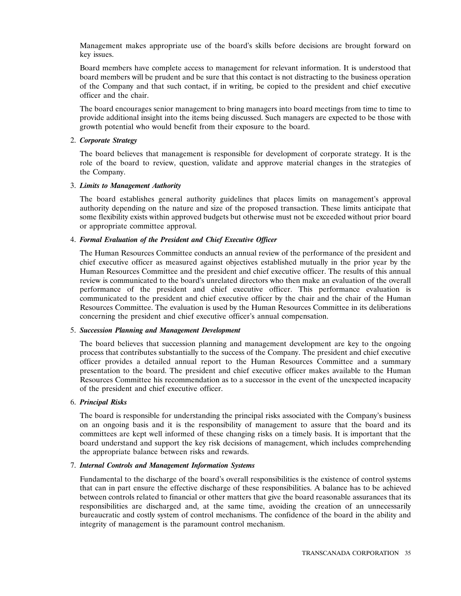Management makes appropriate use of the board's skills before decisions are brought forward on key issues.

Board members have complete access to management for relevant information. It is understood that board members will be prudent and be sure that this contact is not distracting to the business operation of the Company and that such contact, if in writing, be copied to the president and chief executive officer and the chair.

The board encourages senior management to bring managers into board meetings from time to time to provide additional insight into the items being discussed. Such managers are expected to be those with growth potential who would benefit from their exposure to the board.

#### 2. *Corporate Strategy*

The board believes that management is responsible for development of corporate strategy. It is the role of the board to review, question, validate and approve material changes in the strategies of the Company.

# 3. *Limits to Management Authority*

The board establishes general authority guidelines that places limits on management's approval authority depending on the nature and size of the proposed transaction. These limits anticipate that some flexibility exists within approved budgets but otherwise must not be exceeded without prior board or appropriate committee approval.

# 4. *Formal Evaluation of the President and Chief Executive Officer*

The Human Resources Committee conducts an annual review of the performance of the president and chief executive officer as measured against objectives established mutually in the prior year by the Human Resources Committee and the president and chief executive officer. The results of this annual review is communicated to the board's unrelated directors who then make an evaluation of the overall performance of the president and chief executive officer. This performance evaluation is communicated to the president and chief executive officer by the chair and the chair of the Human Resources Committee. The evaluation is used by the Human Resources Committee in its deliberations concerning the president and chief executive officer's annual compensation.

#### 5. *Succession Planning and Management Development*

The board believes that succession planning and management development are key to the ongoing process that contributes substantially to the success of the Company. The president and chief executive officer provides a detailed annual report to the Human Resources Committee and a summary presentation to the board. The president and chief executive officer makes available to the Human Resources Committee his recommendation as to a successor in the event of the unexpected incapacity of the president and chief executive officer.

# 6. *Principal Risks*

The board is responsible for understanding the principal risks associated with the Company's business on an ongoing basis and it is the responsibility of management to assure that the board and its committees are kept well informed of these changing risks on a timely basis. It is important that the board understand and support the key risk decisions of management, which includes comprehending the appropriate balance between risks and rewards.

# 7. *Internal Controls and Management Information Systems*

Fundamental to the discharge of the board's overall responsibilities is the existence of control systems that can in part ensure the effective discharge of these responsibilities. A balance has to be achieved between controls related to financial or other matters that give the board reasonable assurances that its responsibilities are discharged and, at the same time, avoiding the creation of an unnecessarily bureaucratic and costly system of control mechanisms. The confidence of the board in the ability and integrity of management is the paramount control mechanism.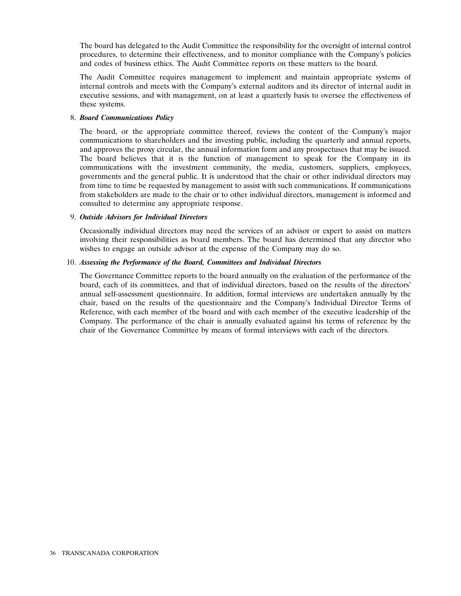The board has delegated to the Audit Committee the responsibility for the oversight of internal control procedures, to determine their effectiveness, and to monitor compliance with the Company's policies and codes of business ethics. The Audit Committee reports on these matters to the board.

The Audit Committee requires management to implement and maintain appropriate systems of internal controls and meets with the Company's external auditors and its director of internal audit in executive sessions, and with management, on at least a quarterly basis to oversee the effectiveness of these systems.

## 8. *Board Communications Policy*

The board, or the appropriate committee thereof, reviews the content of the Company's major communications to shareholders and the investing public, including the quarterly and annual reports, and approves the proxy circular, the annual information form and any prospectuses that may be issued. The board believes that it is the function of management to speak for the Company in its communications with the investment community, the media, customers, suppliers, employees, governments and the general public. It is understood that the chair or other individual directors may from time to time be requested by management to assist with such communications. If communications from stakeholders are made to the chair or to other individual directors, management is informed and consulted to determine any appropriate response.

# 9. *Outside Advisors for Individual Directors*

Occasionally individual directors may need the services of an advisor or expert to assist on matters involving their responsibilities as board members. The board has determined that any director who wishes to engage an outside advisor at the expense of the Company may do so.

# 10. *Assessing the Performance of the Board, Committees and Individual Directors*

The Governance Committee reports to the board annually on the evaluation of the performance of the board, each of its committees, and that of individual directors, based on the results of the directors' annual self-assessment questionnaire. In addition, formal interviews are undertaken annually by the chair, based on the results of the questionnaire and the Company's Individual Director Terms of Reference, with each member of the board and with each member of the executive leadership of the Company. The performance of the chair is annually evaluated against his terms of reference by the chair of the Governance Committee by means of formal interviews with each of the directors.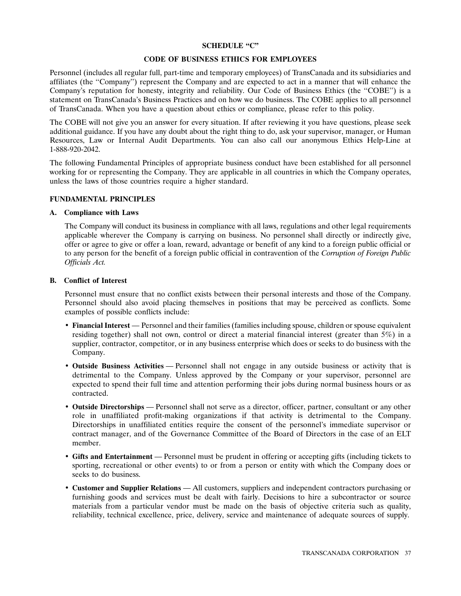# **SCHEDULE ''C''**

## **CODE OF BUSINESS ETHICS FOR EMPLOYEES**

Personnel (includes all regular full, part-time and temporary employees) of TransCanada and its subsidiaries and affiliates (the ''Company'') represent the Company and are expected to act in a manner that will enhance the Company's reputation for honesty, integrity and reliability. Our Code of Business Ethics (the ''COBE'') is a statement on TransCanada's Business Practices and on how we do business. The COBE applies to all personnel of TransCanada. When you have a question about ethics or compliance, please refer to this policy.

The COBE will not give you an answer for every situation. If after reviewing it you have questions, please seek additional guidance. If you have any doubt about the right thing to do, ask your supervisor, manager, or Human Resources, Law or Internal Audit Departments. You can also call our anonymous Ethics Help-Line at 1-888-920-2042.

The following Fundamental Principles of appropriate business conduct have been established for all personnel working for or representing the Company. They are applicable in all countries in which the Company operates, unless the laws of those countries require a higher standard.

# **FUNDAMENTAL PRINCIPLES**

# **A. Compliance with Laws**

The Company will conduct its business in compliance with all laws, regulations and other legal requirements applicable wherever the Company is carrying on business. No personnel shall directly or indirectly give, offer or agree to give or offer a loan, reward, advantage or benefit of any kind to a foreign public official or to any person for the benefit of a foreign public official in contravention of the *Corruption of Foreign Public Officials Act.*

# **B. Conflict of Interest**

Personnel must ensure that no conflict exists between their personal interests and those of the Company. Personnel should also avoid placing themselves in positions that may be perceived as conflicts. Some examples of possible conflicts include:

- **Financial Interest** Personnel and their families (families including spouse, children or spouse equivalent residing together) shall not own, control or direct a material financial interest (greater than 5%) in a supplier, contractor, competitor, or in any business enterprise which does or seeks to do business with the Company.
- **Outside Business Activities** Personnel shall not engage in any outside business or activity that is detrimental to the Company. Unless approved by the Company or your supervisor, personnel are expected to spend their full time and attention performing their jobs during normal business hours or as contracted.
- **Outside Directorships** Personnel shall not serve as a director, officer, partner, consultant or any other role in unaffiliated profit-making organizations if that activity is detrimental to the Company. Directorships in unaffiliated entities require the consent of the personnel's immediate supervisor or contract manager, and of the Governance Committee of the Board of Directors in the case of an ELT member.
- **Gifts and Entertainment** Personnel must be prudent in offering or accepting gifts (including tickets to sporting, recreational or other events) to or from a person or entity with which the Company does or seeks to do business.
- **Customer and Supplier Relations** All customers, suppliers and independent contractors purchasing or furnishing goods and services must be dealt with fairly. Decisions to hire a subcontractor or source materials from a particular vendor must be made on the basis of objective criteria such as quality, reliability, technical excellence, price, delivery, service and maintenance of adequate sources of supply.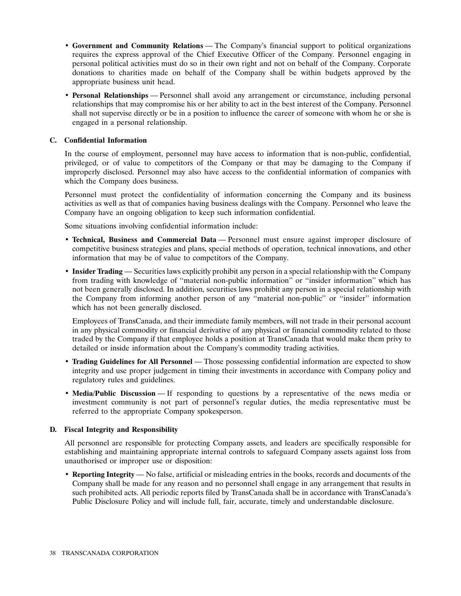- **Government and Community Relations** The Company's financial support to political organizations requires the express approval of the Chief Executive Officer of the Company. Personnel engaging in personal political activities must do so in their own right and not on behalf of the Company. Corporate donations to charities made on behalf of the Company shall be within budgets approved by the appropriate business unit head.
- **Personal Relationships** Personnel shall avoid any arrangement or circumstance, including personal relationships that may compromise his or her ability to act in the best interest of the Company. Personnel shall not supervise directly or be in a position to influence the career of someone with whom he or she is engaged in a personal relationship.

# **C. Confidential Information**

In the course of employment, personnel may have access to information that is non-public, confidential, privileged, or of value to competitors of the Company or that may be damaging to the Company if improperly disclosed. Personnel may also have access to the confidential information of companies with which the Company does business.

Personnel must protect the confidentiality of information concerning the Company and its business activities as well as that of companies having business dealings with the Company. Personnel who leave the Company have an ongoing obligation to keep such information confidential.

Some situations involving confidential information include:

- **Technical, Business and Commercial Data** Personnel must ensure against improper disclosure of competitive business strategies and plans, special methods of operation, technical innovations, and other information that may be of value to competitors of the Company.
- **Insider Trading** Securities laws explicitly prohibit any person in a special relationship with the Company from trading with knowledge of ''material non-public information'' or ''insider information'' which has not been generally disclosed. In addition, securities laws prohibit any person in a special relationship with the Company from informing another person of any ''material non-public'' or ''insider'' information which has not been generally disclosed.

Employees of TransCanada, and their immediate family members, will not trade in their personal account in any physical commodity or financial derivative of any physical or financial commodity related to those traded by the Company if that employee holds a position at TransCanada that would make them privy to detailed or inside information about the Company's commodity trading activities.

- **Trading Guidelines for All Personnel** Those possessing confidential information are expected to show integrity and use proper judgement in timing their investments in accordance with Company policy and regulatory rules and guidelines.
- **Media/Public Discussion** If responding to questions by a representative of the news media or investment community is not part of personnel's regular duties, the media representative must be referred to the appropriate Company spokesperson.

# **D. Fiscal Integrity and Responsibility**

All personnel are responsible for protecting Company assets, and leaders are specifically responsible for establishing and maintaining appropriate internal controls to safeguard Company assets against loss from unauthorised or improper use or disposition:

• **Reporting Integrity** — No false, artificial or misleading entries in the books, records and documents of the Company shall be made for any reason and no personnel shall engage in any arrangement that results in such prohibited acts. All periodic reports filed by TransCanada shall be in accordance with TransCanada's Public Disclosure Policy and will include full, fair, accurate, timely and understandable disclosure.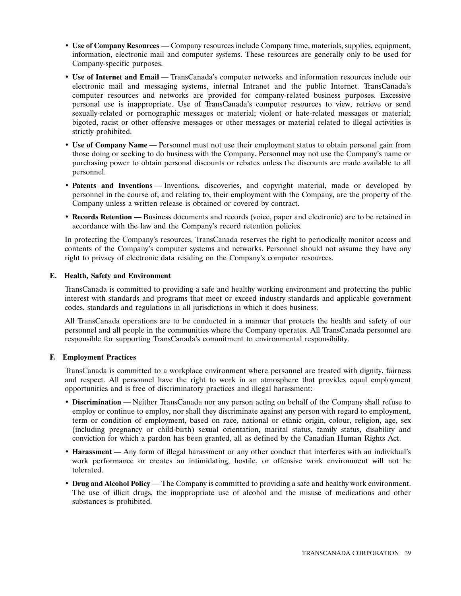- **Use of Company Resources** Company resources include Company time, materials, supplies, equipment, information, electronic mail and computer systems. These resources are generally only to be used for Company-specific purposes.
- **Use of Internet and Email** TransCanada's computer networks and information resources include our electronic mail and messaging systems, internal Intranet and the public Internet. TransCanada's computer resources and networks are provided for company-related business purposes. Excessive personal use is inappropriate. Use of TransCanada's computer resources to view, retrieve or send sexually-related or pornographic messages or material; violent or hate-related messages or material; bigoted, racist or other offensive messages or other messages or material related to illegal activities is strictly prohibited.
- **Use of Company Name** Personnel must not use their employment status to obtain personal gain from those doing or seeking to do business with the Company. Personnel may not use the Company's name or purchasing power to obtain personal discounts or rebates unless the discounts are made available to all personnel.
- **Patents and Inventions** Inventions, discoveries, and copyright material, made or developed by personnel in the course of, and relating to, their employment with the Company, are the property of the Company unless a written release is obtained or covered by contract.
- **Records Retention** Business documents and records (voice, paper and electronic) are to be retained in accordance with the law and the Company's record retention policies.

In protecting the Company's resources, TransCanada reserves the right to periodically monitor access and contents of the Company's computer systems and networks. Personnel should not assume they have any right to privacy of electronic data residing on the Company's computer resources.

# **E. Health, Safety and Environment**

TransCanada is committed to providing a safe and healthy working environment and protecting the public interest with standards and programs that meet or exceed industry standards and applicable government codes, standards and regulations in all jurisdictions in which it does business.

All TransCanada operations are to be conducted in a manner that protects the health and safety of our personnel and all people in the communities where the Company operates. All TransCanada personnel are responsible for supporting TransCanada's commitment to environmental responsibility.

# **F. Employment Practices**

TransCanada is committed to a workplace environment where personnel are treated with dignity, fairness and respect. All personnel have the right to work in an atmosphere that provides equal employment opportunities and is free of discriminatory practices and illegal harassment:

- **Discrimination** Neither TransCanada nor any person acting on behalf of the Company shall refuse to employ or continue to employ, nor shall they discriminate against any person with regard to employment, term or condition of employment, based on race, national or ethnic origin, colour, religion, age, sex (including pregnancy or child-birth) sexual orientation, marital status, family status, disability and conviction for which a pardon has been granted, all as defined by the Canadian Human Rights Act.
- **Harassment** Any form of illegal harassment or any other conduct that interferes with an individual's work performance or creates an intimidating, hostile, or offensive work environment will not be tolerated.
- **Drug and Alcohol Policy** The Company is committed to providing a safe and healthy work environment. The use of illicit drugs, the inappropriate use of alcohol and the misuse of medications and other substances is prohibited.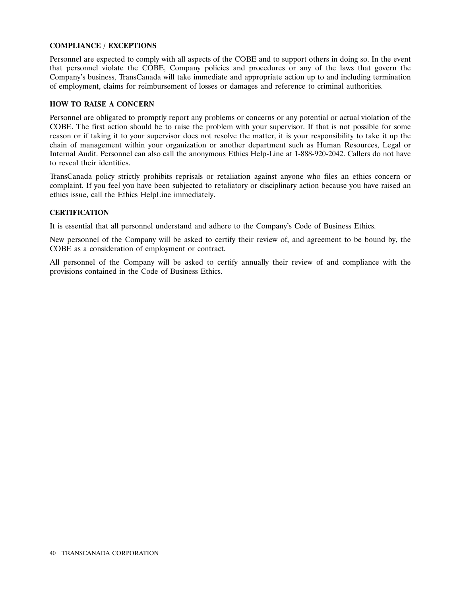# **COMPLIANCE / EXCEPTIONS**

Personnel are expected to comply with all aspects of the COBE and to support others in doing so. In the event that personnel violate the COBE, Company policies and procedures or any of the laws that govern the Company's business, TransCanada will take immediate and appropriate action up to and including termination of employment, claims for reimbursement of losses or damages and reference to criminal authorities.

# **HOW TO RAISE A CONCERN**

Personnel are obligated to promptly report any problems or concerns or any potential or actual violation of the COBE. The first action should be to raise the problem with your supervisor. If that is not possible for some reason or if taking it to your supervisor does not resolve the matter, it is your responsibility to take it up the chain of management within your organization or another department such as Human Resources, Legal or Internal Audit. Personnel can also call the anonymous Ethics Help-Line at 1-888-920-2042. Callers do not have to reveal their identities.

TransCanada policy strictly prohibits reprisals or retaliation against anyone who files an ethics concern or complaint. If you feel you have been subjected to retaliatory or disciplinary action because you have raised an ethics issue, call the Ethics HelpLine immediately.

# **CERTIFICATION**

It is essential that all personnel understand and adhere to the Company's Code of Business Ethics.

New personnel of the Company will be asked to certify their review of, and agreement to be bound by, the COBE as a consideration of employment or contract.

All personnel of the Company will be asked to certify annually their review of and compliance with the provisions contained in the Code of Business Ethics.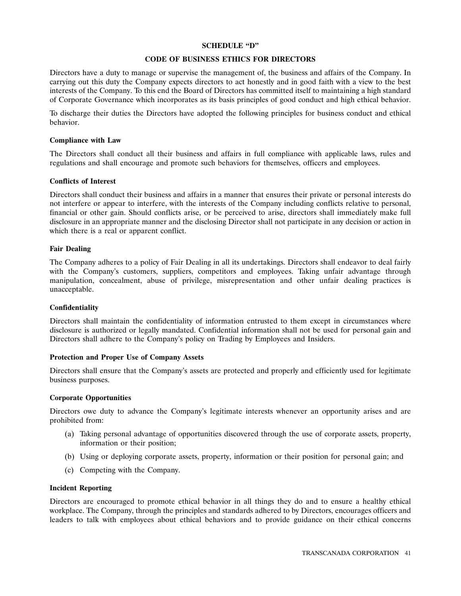# **SCHEDULE ''D''**

## **CODE OF BUSINESS ETHICS FOR DIRECTORS**

Directors have a duty to manage or supervise the management of, the business and affairs of the Company. In carrying out this duty the Company expects directors to act honestly and in good faith with a view to the best interests of the Company. To this end the Board of Directors has committed itself to maintaining a high standard of Corporate Governance which incorporates as its basis principles of good conduct and high ethical behavior.

To discharge their duties the Directors have adopted the following principles for business conduct and ethical behavior.

# **Compliance with Law**

The Directors shall conduct all their business and affairs in full compliance with applicable laws, rules and regulations and shall encourage and promote such behaviors for themselves, officers and employees.

# **Conflicts of Interest**

Directors shall conduct their business and affairs in a manner that ensures their private or personal interests do not interfere or appear to interfere, with the interests of the Company including conflicts relative to personal, financial or other gain. Should conflicts arise, or be perceived to arise, directors shall immediately make full disclosure in an appropriate manner and the disclosing Director shall not participate in any decision or action in which there is a real or apparent conflict.

# **Fair Dealing**

The Company adheres to a policy of Fair Dealing in all its undertakings. Directors shall endeavor to deal fairly with the Company's customers, suppliers, competitors and employees. Taking unfair advantage through manipulation, concealment, abuse of privilege, misrepresentation and other unfair dealing practices is unacceptable.

#### **Confidentiality**

Directors shall maintain the confidentiality of information entrusted to them except in circumstances where disclosure is authorized or legally mandated. Confidential information shall not be used for personal gain and Directors shall adhere to the Company's policy on Trading by Employees and Insiders.

# **Protection and Proper Use of Company Assets**

Directors shall ensure that the Company's assets are protected and properly and efficiently used for legitimate business purposes.

# **Corporate Opportunities**

Directors owe duty to advance the Company's legitimate interests whenever an opportunity arises and are prohibited from:

- (a) Taking personal advantage of opportunities discovered through the use of corporate assets, property, information or their position;
- (b) Using or deploying corporate assets, property, information or their position for personal gain; and
- (c) Competing with the Company.

# **Incident Reporting**

Directors are encouraged to promote ethical behavior in all things they do and to ensure a healthy ethical workplace. The Company, through the principles and standards adhered to by Directors, encourages officers and leaders to talk with employees about ethical behaviors and to provide guidance on their ethical concerns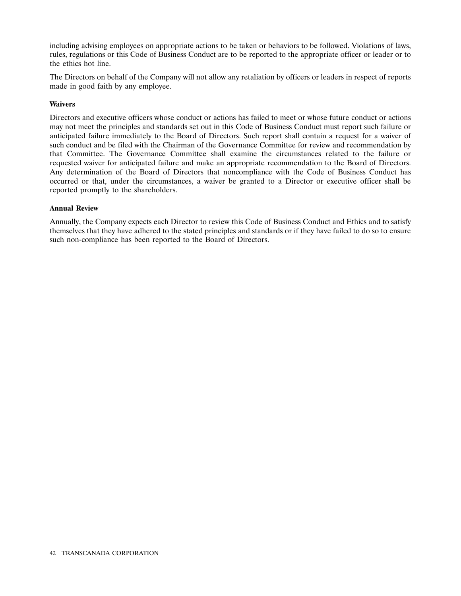including advising employees on appropriate actions to be taken or behaviors to be followed. Violations of laws, rules, regulations or this Code of Business Conduct are to be reported to the appropriate officer or leader or to the ethics hot line.

The Directors on behalf of the Company will not allow any retaliation by officers or leaders in respect of reports made in good faith by any employee.

# **Waivers**

Directors and executive officers whose conduct or actions has failed to meet or whose future conduct or actions may not meet the principles and standards set out in this Code of Business Conduct must report such failure or anticipated failure immediately to the Board of Directors. Such report shall contain a request for a waiver of such conduct and be filed with the Chairman of the Governance Committee for review and recommendation by that Committee. The Governance Committee shall examine the circumstances related to the failure or requested waiver for anticipated failure and make an appropriate recommendation to the Board of Directors. Any determination of the Board of Directors that noncompliance with the Code of Business Conduct has occurred or that, under the circumstances, a waiver be granted to a Director or executive officer shall be reported promptly to the shareholders.

#### **Annual Review**

Annually, the Company expects each Director to review this Code of Business Conduct and Ethics and to satisfy themselves that they have adhered to the stated principles and standards or if they have failed to do so to ensure such non-compliance has been reported to the Board of Directors.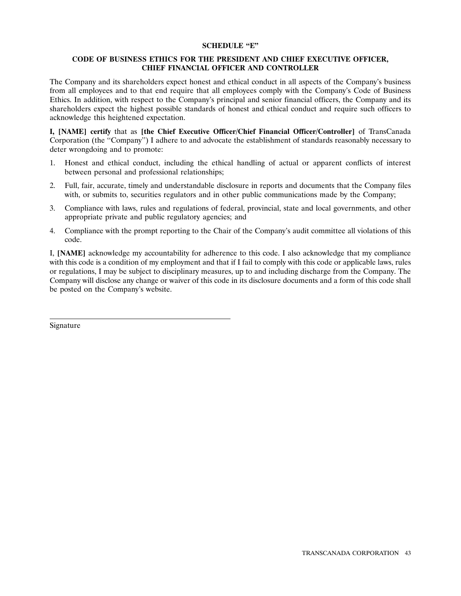# **SCHEDULE ''E''**

# **CODE OF BUSINESS ETHICS FOR THE PRESIDENT AND CHIEF EXECUTIVE OFFICER, CHIEF FINANCIAL OFFICER AND CONTROLLER**

The Company and its shareholders expect honest and ethical conduct in all aspects of the Company's business from all employees and to that end require that all employees comply with the Company's Code of Business Ethics. In addition, with respect to the Company's principal and senior financial officers, the Company and its shareholders expect the highest possible standards of honest and ethical conduct and require such officers to acknowledge this heightened expectation.

**I, [NAME] certify** that as **[the Chief Executive Officer/Chief Financial Officer/Controller]** of TransCanada Corporation (the ''Company'') I adhere to and advocate the establishment of standards reasonably necessary to deter wrongdoing and to promote:

- 1. Honest and ethical conduct, including the ethical handling of actual or apparent conflicts of interest between personal and professional relationships;
- 2. Full, fair, accurate, timely and understandable disclosure in reports and documents that the Company files with, or submits to, securities regulators and in other public communications made by the Company;
- 3. Compliance with laws, rules and regulations of federal, provincial, state and local governments, and other appropriate private and public regulatory agencies; and
- 4. Compliance with the prompt reporting to the Chair of the Company's audit committee all violations of this code.

I, **[NAME]** acknowledge my accountability for adherence to this code. I also acknowledge that my compliance with this code is a condition of my employment and that if I fail to comply with this code or applicable laws, rules or regulations, I may be subject to disciplinary measures, up to and including discharge from the Company. The Company will disclose any change or waiver of this code in its disclosure documents and a form of this code shall be posted on the Company's website.

Signature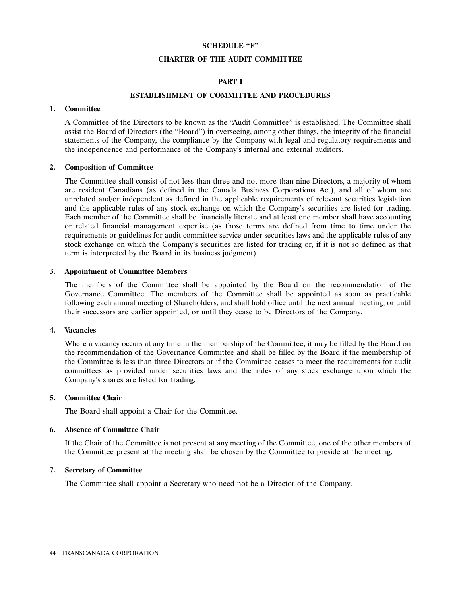# **SCHEDULE ''F''**

## **CHARTER OF THE AUDIT COMMITTEE**

# **PART I**

# **ESTABLISHMENT OF COMMITTEE AND PROCEDURES**

# **1. Committee**

A Committee of the Directors to be known as the ''Audit Committee'' is established. The Committee shall assist the Board of Directors (the ''Board'') in overseeing, among other things, the integrity of the financial statements of the Company, the compliance by the Company with legal and regulatory requirements and the independence and performance of the Company's internal and external auditors.

# **2. Composition of Committee**

The Committee shall consist of not less than three and not more than nine Directors, a majority of whom are resident Canadians (as defined in the Canada Business Corporations Act), and all of whom are unrelated and/or independent as defined in the applicable requirements of relevant securities legislation and the applicable rules of any stock exchange on which the Company's securities are listed for trading. Each member of the Committee shall be financially literate and at least one member shall have accounting or related financial management expertise (as those terms are defined from time to time under the requirements or guidelines for audit committee service under securities laws and the applicable rules of any stock exchange on which the Company's securities are listed for trading or, if it is not so defined as that term is interpreted by the Board in its business judgment).

#### **3. Appointment of Committee Members**

The members of the Committee shall be appointed by the Board on the recommendation of the Governance Committee. The members of the Committee shall be appointed as soon as practicable following each annual meeting of Shareholders, and shall hold office until the next annual meeting, or until their successors are earlier appointed, or until they cease to be Directors of the Company.

#### **4. Vacancies**

Where a vacancy occurs at any time in the membership of the Committee, it may be filled by the Board on the recommendation of the Governance Committee and shall be filled by the Board if the membership of the Committee is less than three Directors or if the Committee ceases to meet the requirements for audit committees as provided under securities laws and the rules of any stock exchange upon which the Company's shares are listed for trading.

## **5. Committee Chair**

The Board shall appoint a Chair for the Committee.

#### **6. Absence of Committee Chair**

If the Chair of the Committee is not present at any meeting of the Committee, one of the other members of the Committee present at the meeting shall be chosen by the Committee to preside at the meeting.

#### **7. Secretary of Committee**

The Committee shall appoint a Secretary who need not be a Director of the Company.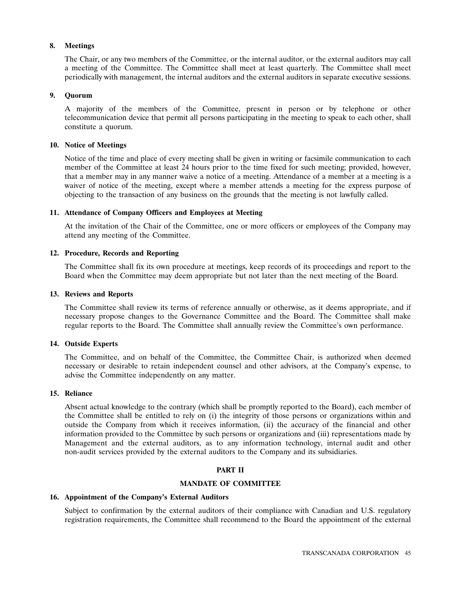# **8. Meetings**

The Chair, or any two members of the Committee, or the internal auditor, or the external auditors may call a meeting of the Committee. The Committee shall meet at least quarterly. The Committee shall meet periodically with management, the internal auditors and the external auditors in separate executive sessions.

# **9. Quorum**

A majority of the members of the Committee, present in person or by telephone or other telecommunication device that permit all persons participating in the meeting to speak to each other, shall constitute a quorum.

## **10. Notice of Meetings**

Notice of the time and place of every meeting shall be given in writing or facsimile communication to each member of the Committee at least 24 hours prior to the time fixed for such meeting; provided, however, that a member may in any manner waive a notice of a meeting. Attendance of a member at a meeting is a waiver of notice of the meeting, except where a member attends a meeting for the express purpose of objecting to the transaction of any business on the grounds that the meeting is not lawfully called.

# **11. Attendance of Company Officers and Employees at Meeting**

At the invitation of the Chair of the Committee, one or more officers or employees of the Company may attend any meeting of the Committee.

# **12. Procedure, Records and Reporting**

The Committee shall fix its own procedure at meetings, keep records of its proceedings and report to the Board when the Committee may deem appropriate but not later than the next meeting of the Board.

## **13. Reviews and Reports**

The Committee shall review its terms of reference annually or otherwise, as it deems appropriate, and if necessary propose changes to the Governance Committee and the Board. The Committee shall make regular reports to the Board. The Committee shall annually review the Committee's own performance.

# **14. Outside Experts**

The Committee, and on behalf of the Committee, the Committee Chair, is authorized when deemed necessary or desirable to retain independent counsel and other advisors, at the Company's expense, to advise the Committee independently on any matter.

# **15. Reliance**

Absent actual knowledge to the contrary (which shall be promptly reported to the Board), each member of the Committee shall be entitled to rely on (i) the integrity of those persons or organizations within and outside the Company from which it receives information, (ii) the accuracy of the financial and other information provided to the Committee by such persons or organizations and (iii) representations made by Management and the external auditors, as to any information technology, internal audit and other non-audit services provided by the external auditors to the Company and its subsidiaries.

# **PART II**

# **MANDATE OF COMMITTEE**

# **16. Appointment of the Company's External Auditors**

Subject to confirmation by the external auditors of their compliance with Canadian and U.S. regulatory registration requirements, the Committee shall recommend to the Board the appointment of the external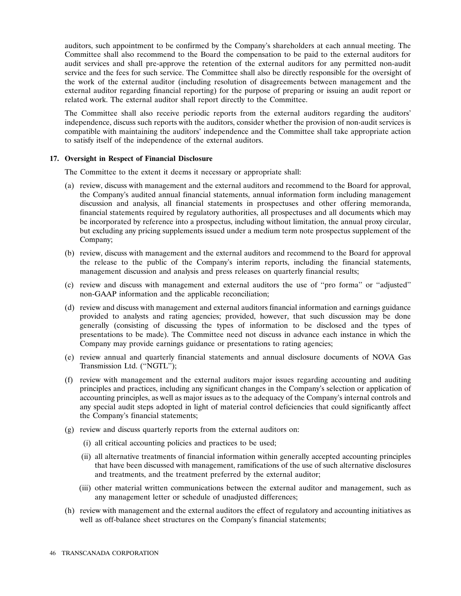auditors, such appointment to be confirmed by the Company's shareholders at each annual meeting. The Committee shall also recommend to the Board the compensation to be paid to the external auditors for audit services and shall pre-approve the retention of the external auditors for any permitted non-audit service and the fees for such service. The Committee shall also be directly responsible for the oversight of the work of the external auditor (including resolution of disagreements between management and the external auditor regarding financial reporting) for the purpose of preparing or issuing an audit report or related work. The external auditor shall report directly to the Committee.

The Committee shall also receive periodic reports from the external auditors regarding the auditors' independence, discuss such reports with the auditors, consider whether the provision of non-audit services is compatible with maintaining the auditors' independence and the Committee shall take appropriate action to satisfy itself of the independence of the external auditors.

# **17. Oversight in Respect of Financial Disclosure**

The Committee to the extent it deems it necessary or appropriate shall:

- (a) review, discuss with management and the external auditors and recommend to the Board for approval, the Company's audited annual financial statements, annual information form including management discussion and analysis, all financial statements in prospectuses and other offering memoranda, financial statements required by regulatory authorities, all prospectuses and all documents which may be incorporated by reference into a prospectus, including without limitation, the annual proxy circular, but excluding any pricing supplements issued under a medium term note prospectus supplement of the Company;
- (b) review, discuss with management and the external auditors and recommend to the Board for approval the release to the public of the Company's interim reports, including the financial statements, management discussion and analysis and press releases on quarterly financial results;
- (c) review and discuss with management and external auditors the use of ''pro forma'' or ''adjusted'' non-GAAP information and the applicable reconciliation;
- (d) review and discuss with management and external auditors financial information and earnings guidance provided to analysts and rating agencies; provided, however, that such discussion may be done generally (consisting of discussing the types of information to be disclosed and the types of presentations to be made). The Committee need not discuss in advance each instance in which the Company may provide earnings guidance or presentations to rating agencies;
- (e) review annual and quarterly financial statements and annual disclosure documents of NOVA Gas Transmission Ltd. (''NGTL'');
- (f) review with management and the external auditors major issues regarding accounting and auditing principles and practices, including any significant changes in the Company's selection or application of accounting principles, as well as major issues as to the adequacy of the Company's internal controls and any special audit steps adopted in light of material control deficiencies that could significantly affect the Company's financial statements;
- (g) review and discuss quarterly reports from the external auditors on:
	- (i) all critical accounting policies and practices to be used;
	- (ii) all alternative treatments of financial information within generally accepted accounting principles that have been discussed with management, ramifications of the use of such alternative disclosures and treatments, and the treatment preferred by the external auditor;
	- (iii) other material written communications between the external auditor and management, such as any management letter or schedule of unadjusted differences;
- (h) review with management and the external auditors the effect of regulatory and accounting initiatives as well as off-balance sheet structures on the Company's financial statements;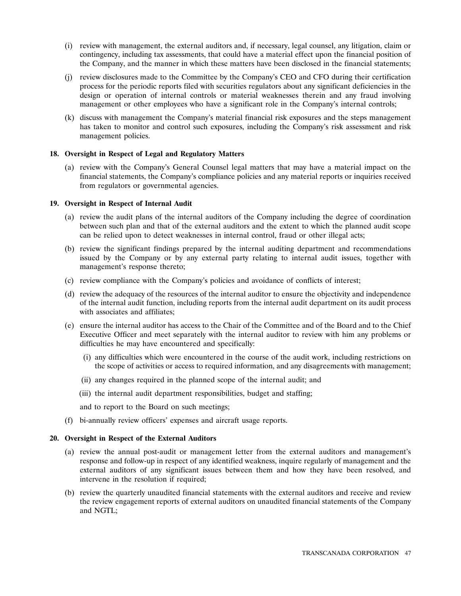- (i) review with management, the external auditors and, if necessary, legal counsel, any litigation, claim or contingency, including tax assessments, that could have a material effect upon the financial position of the Company, and the manner in which these matters have been disclosed in the financial statements;
- (j) review disclosures made to the Committee by the Company's CEO and CFO during their certification process for the periodic reports filed with securities regulators about any significant deficiencies in the design or operation of internal controls or material weaknesses therein and any fraud involving management or other employees who have a significant role in the Company's internal controls;
- (k) discuss with management the Company's material financial risk exposures and the steps management has taken to monitor and control such exposures, including the Company's risk assessment and risk management policies.

# **18. Oversight in Respect of Legal and Regulatory Matters**

(a) review with the Company's General Counsel legal matters that may have a material impact on the financial statements, the Company's compliance policies and any material reports or inquiries received from regulators or governmental agencies.

#### **19. Oversight in Respect of Internal Audit**

- (a) review the audit plans of the internal auditors of the Company including the degree of coordination between such plan and that of the external auditors and the extent to which the planned audit scope can be relied upon to detect weaknesses in internal control, fraud or other illegal acts;
- (b) review the significant findings prepared by the internal auditing department and recommendations issued by the Company or by any external party relating to internal audit issues, together with management's response thereto;
- (c) review compliance with the Company's policies and avoidance of conflicts of interest;
- (d) review the adequacy of the resources of the internal auditor to ensure the objectivity and independence of the internal audit function, including reports from the internal audit department on its audit process with associates and affiliates;
- (e) ensure the internal auditor has access to the Chair of the Committee and of the Board and to the Chief Executive Officer and meet separately with the internal auditor to review with him any problems or difficulties he may have encountered and specifically:
	- (i) any difficulties which were encountered in the course of the audit work, including restrictions on the scope of activities or access to required information, and any disagreements with management;
	- (ii) any changes required in the planned scope of the internal audit; and
	- (iii) the internal audit department responsibilities, budget and staffing;
	- and to report to the Board on such meetings;
- (f) bi-annually review officers' expenses and aircraft usage reports.

## **20. Oversight in Respect of the External Auditors**

- (a) review the annual post-audit or management letter from the external auditors and management's response and follow-up in respect of any identified weakness, inquire regularly of management and the external auditors of any significant issues between them and how they have been resolved, and intervene in the resolution if required;
- (b) review the quarterly unaudited financial statements with the external auditors and receive and review the review engagement reports of external auditors on unaudited financial statements of the Company and NGTL;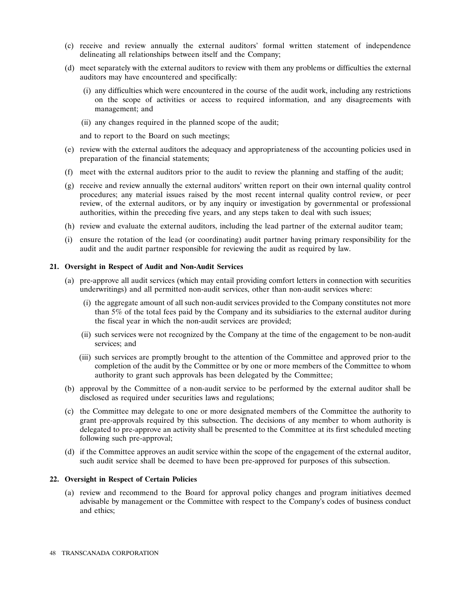- (c) receive and review annually the external auditors' formal written statement of independence delineating all relationships between itself and the Company;
- (d) meet separately with the external auditors to review with them any problems or difficulties the external auditors may have encountered and specifically:
	- (i) any difficulties which were encountered in the course of the audit work, including any restrictions on the scope of activities or access to required information, and any disagreements with management; and
	- (ii) any changes required in the planned scope of the audit;

and to report to the Board on such meetings;

- (e) review with the external auditors the adequacy and appropriateness of the accounting policies used in preparation of the financial statements;
- (f) meet with the external auditors prior to the audit to review the planning and staffing of the audit;
- (g) receive and review annually the external auditors' written report on their own internal quality control procedures; any material issues raised by the most recent internal quality control review, or peer review, of the external auditors, or by any inquiry or investigation by governmental or professional authorities, within the preceding five years, and any steps taken to deal with such issues;
- (h) review and evaluate the external auditors, including the lead partner of the external auditor team;
- (i) ensure the rotation of the lead (or coordinating) audit partner having primary responsibility for the audit and the audit partner responsible for reviewing the audit as required by law.

#### **21. Oversight in Respect of Audit and Non-Audit Services**

- (a) pre-approve all audit services (which may entail providing comfort letters in connection with securities underwritings) and all permitted non-audit services, other than non-audit services where:
	- (i) the aggregate amount of all such non-audit services provided to the Company constitutes not more than 5% of the total fees paid by the Company and its subsidiaries to the external auditor during the fiscal year in which the non-audit services are provided;
	- (ii) such services were not recognized by the Company at the time of the engagement to be non-audit services; and
	- (iii) such services are promptly brought to the attention of the Committee and approved prior to the completion of the audit by the Committee or by one or more members of the Committee to whom authority to grant such approvals has been delegated by the Committee;
- (b) approval by the Committee of a non-audit service to be performed by the external auditor shall be disclosed as required under securities laws and regulations;
- (c) the Committee may delegate to one or more designated members of the Committee the authority to grant pre-approvals required by this subsection. The decisions of any member to whom authority is delegated to pre-approve an activity shall be presented to the Committee at its first scheduled meeting following such pre-approval;
- (d) if the Committee approves an audit service within the scope of the engagement of the external auditor, such audit service shall be deemed to have been pre-approved for purposes of this subsection.

#### **22. Oversight in Respect of Certain Policies**

(a) review and recommend to the Board for approval policy changes and program initiatives deemed advisable by management or the Committee with respect to the Company's codes of business conduct and ethics;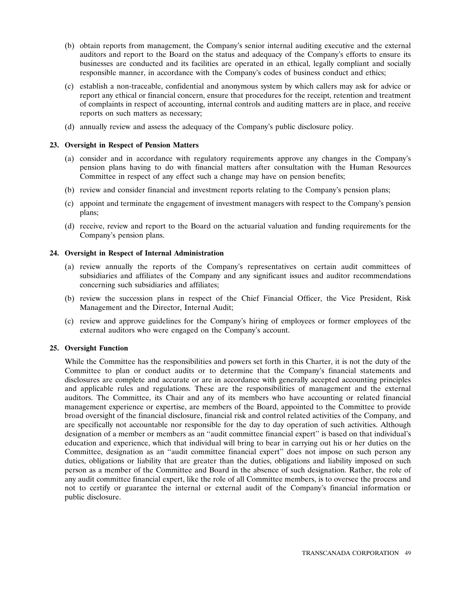- (b) obtain reports from management, the Company's senior internal auditing executive and the external auditors and report to the Board on the status and adequacy of the Company's efforts to ensure its businesses are conducted and its facilities are operated in an ethical, legally compliant and socially responsible manner, in accordance with the Company's codes of business conduct and ethics;
- (c) establish a non-traceable, confidential and anonymous system by which callers may ask for advice or report any ethical or financial concern, ensure that procedures for the receipt, retention and treatment of complaints in respect of accounting, internal controls and auditing matters are in place, and receive reports on such matters as necessary;
- (d) annually review and assess the adequacy of the Company's public disclosure policy.

# **23. Oversight in Respect of Pension Matters**

- (a) consider and in accordance with regulatory requirements approve any changes in the Company's pension plans having to do with financial matters after consultation with the Human Resources Committee in respect of any effect such a change may have on pension benefits;
- (b) review and consider financial and investment reports relating to the Company's pension plans;
- (c) appoint and terminate the engagement of investment managers with respect to the Company's pension plans;
- (d) receive, review and report to the Board on the actuarial valuation and funding requirements for the Company's pension plans.

# **24. Oversight in Respect of Internal Administration**

- (a) review annually the reports of the Company's representatives on certain audit committees of subsidiaries and affiliates of the Company and any significant issues and auditor recommendations concerning such subsidiaries and affiliates;
- (b) review the succession plans in respect of the Chief Financial Officer, the Vice President, Risk Management and the Director, Internal Audit;
- (c) review and approve guidelines for the Company's hiring of employees or former employees of the external auditors who were engaged on the Company's account.

# **25. Oversight Function**

While the Committee has the responsibilities and powers set forth in this Charter, it is not the duty of the Committee to plan or conduct audits or to determine that the Company's financial statements and disclosures are complete and accurate or are in accordance with generally accepted accounting principles and applicable rules and regulations. These are the responsibilities of management and the external auditors. The Committee, its Chair and any of its members who have accounting or related financial management experience or expertise, are members of the Board, appointed to the Committee to provide broad oversight of the financial disclosure, financial risk and control related activities of the Company, and are specifically not accountable nor responsible for the day to day operation of such activities. Although designation of a member or members as an ''audit committee financial expert'' is based on that individual's education and experience, which that individual will bring to bear in carrying out his or her duties on the Committee, designation as an ''audit committee financial expert'' does not impose on such person any duties, obligations or liability that are greater than the duties, obligations and liability imposed on such person as a member of the Committee and Board in the absence of such designation. Rather, the role of any audit committee financial expert, like the role of all Committee members, is to oversee the process and not to certify or guarantee the internal or external audit of the Company's financial information or public disclosure.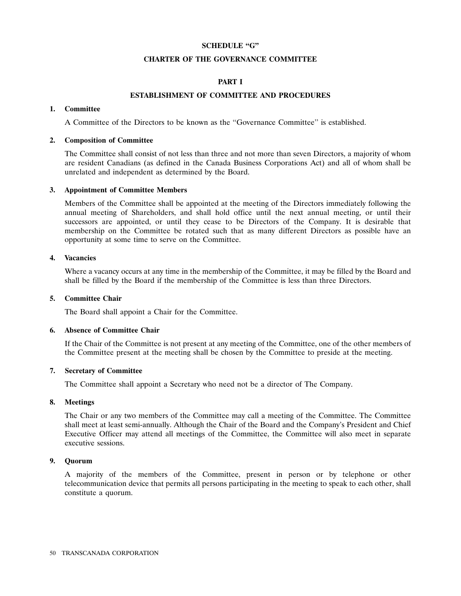# **SCHEDULE ''G''**

#### **CHARTER OF THE GOVERNANCE COMMITTEE**

# **PART I**

## **ESTABLISHMENT OF COMMITTEE AND PROCEDURES**

# **1. Committee**

A Committee of the Directors to be known as the ''Governance Committee'' is established.

# **2. Composition of Committee**

The Committee shall consist of not less than three and not more than seven Directors, a majority of whom are resident Canadians (as defined in the Canada Business Corporations Act) and all of whom shall be unrelated and independent as determined by the Board.

#### **3. Appointment of Committee Members**

Members of the Committee shall be appointed at the meeting of the Directors immediately following the annual meeting of Shareholders, and shall hold office until the next annual meeting, or until their successors are appointed, or until they cease to be Directors of the Company. It is desirable that membership on the Committee be rotated such that as many different Directors as possible have an opportunity at some time to serve on the Committee.

# **4. Vacancies**

Where a vacancy occurs at any time in the membership of the Committee, it may be filled by the Board and shall be filled by the Board if the membership of the Committee is less than three Directors.

## **5. Committee Chair**

The Board shall appoint a Chair for the Committee.

#### **6. Absence of Committee Chair**

If the Chair of the Committee is not present at any meeting of the Committee, one of the other members of the Committee present at the meeting shall be chosen by the Committee to preside at the meeting.

# **7. Secretary of Committee**

The Committee shall appoint a Secretary who need not be a director of The Company.

# **8. Meetings**

The Chair or any two members of the Committee may call a meeting of the Committee. The Committee shall meet at least semi-annually. Although the Chair of the Board and the Company's President and Chief Executive Officer may attend all meetings of the Committee, the Committee will also meet in separate executive sessions.

#### **9. Quorum**

A majority of the members of the Committee, present in person or by telephone or other telecommunication device that permits all persons participating in the meeting to speak to each other, shall constitute a quorum.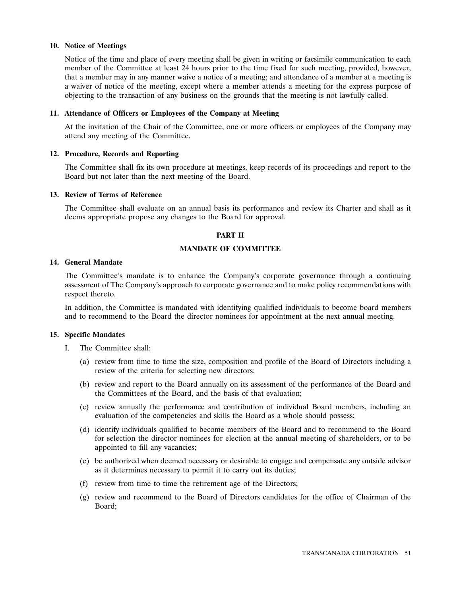## **10. Notice of Meetings**

Notice of the time and place of every meeting shall be given in writing or facsimile communication to each member of the Committee at least 24 hours prior to the time fixed for such meeting, provided, however, that a member may in any manner waive a notice of a meeting; and attendance of a member at a meeting is a waiver of notice of the meeting, except where a member attends a meeting for the express purpose of objecting to the transaction of any business on the grounds that the meeting is not lawfully called.

## **11. Attendance of Officers or Employees of the Company at Meeting**

At the invitation of the Chair of the Committee, one or more officers or employees of the Company may attend any meeting of the Committee.

# **12. Procedure, Records and Reporting**

The Committee shall fix its own procedure at meetings, keep records of its proceedings and report to the Board but not later than the next meeting of the Board.

# **13. Review of Terms of Reference**

The Committee shall evaluate on an annual basis its performance and review its Charter and shall as it deems appropriate propose any changes to the Board for approval.

#### **PART II**

# **MANDATE OF COMMITTEE**

#### **14. General Mandate**

The Committee's mandate is to enhance the Company's corporate governance through a continuing assessment of The Company's approach to corporate governance and to make policy recommendations with respect thereto.

In addition, the Committee is mandated with identifying qualified individuals to become board members and to recommend to the Board the director nominees for appointment at the next annual meeting.

# **15. Specific Mandates**

- I. The Committee shall:
	- (a) review from time to time the size, composition and profile of the Board of Directors including a review of the criteria for selecting new directors;
	- (b) review and report to the Board annually on its assessment of the performance of the Board and the Committees of the Board, and the basis of that evaluation;
	- (c) review annually the performance and contribution of individual Board members, including an evaluation of the competencies and skills the Board as a whole should possess;
	- (d) identify individuals qualified to become members of the Board and to recommend to the Board for selection the director nominees for election at the annual meeting of shareholders, or to be appointed to fill any vacancies;
	- (e) be authorized when deemed necessary or desirable to engage and compensate any outside advisor as it determines necessary to permit it to carry out its duties;
	- (f) review from time to time the retirement age of the Directors;
	- (g) review and recommend to the Board of Directors candidates for the office of Chairman of the Board;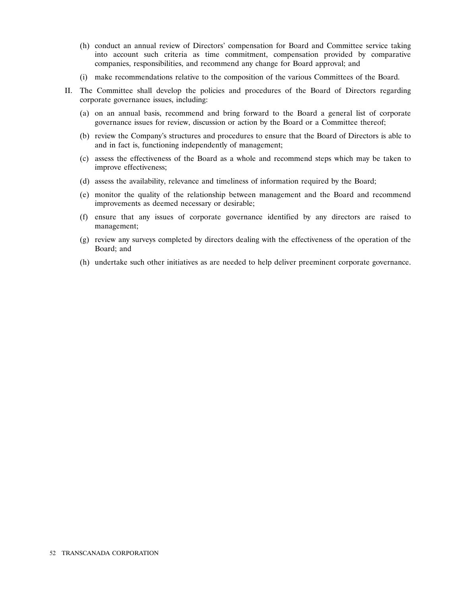- (h) conduct an annual review of Directors' compensation for Board and Committee service taking into account such criteria as time commitment, compensation provided by comparative companies, responsibilities, and recommend any change for Board approval; and
- (i) make recommendations relative to the composition of the various Committees of the Board.
- II. The Committee shall develop the policies and procedures of the Board of Directors regarding corporate governance issues, including:
	- (a) on an annual basis, recommend and bring forward to the Board a general list of corporate governance issues for review, discussion or action by the Board or a Committee thereof;
	- (b) review the Company's structures and procedures to ensure that the Board of Directors is able to and in fact is, functioning independently of management;
	- (c) assess the effectiveness of the Board as a whole and recommend steps which may be taken to improve effectiveness;
	- (d) assess the availability, relevance and timeliness of information required by the Board;
	- (e) monitor the quality of the relationship between management and the Board and recommend improvements as deemed necessary or desirable;
	- (f) ensure that any issues of corporate governance identified by any directors are raised to management;
	- (g) review any surveys completed by directors dealing with the effectiveness of the operation of the Board; and
	- (h) undertake such other initiatives as are needed to help deliver preeminent corporate governance.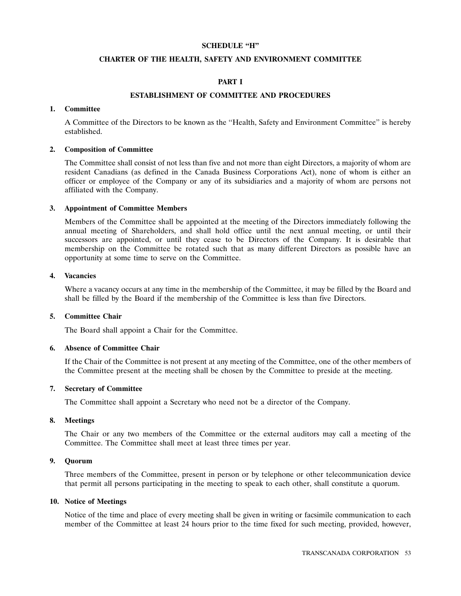# **SCHEDULE ''H''**

#### **CHARTER OF THE HEALTH, SAFETY AND ENVIRONMENT COMMITTEE**

# **PART I**

# **ESTABLISHMENT OF COMMITTEE AND PROCEDURES**

#### **1. Committee**

A Committee of the Directors to be known as the ''Health, Safety and Environment Committee'' is hereby established.

## **2. Composition of Committee**

The Committee shall consist of not less than five and not more than eight Directors, a majority of whom are resident Canadians (as defined in the Canada Business Corporations Act), none of whom is either an officer or employee of the Company or any of its subsidiaries and a majority of whom are persons not affiliated with the Company.

#### **3. Appointment of Committee Members**

Members of the Committee shall be appointed at the meeting of the Directors immediately following the annual meeting of Shareholders, and shall hold office until the next annual meeting, or until their successors are appointed, or until they cease to be Directors of the Company. It is desirable that membership on the Committee be rotated such that as many different Directors as possible have an opportunity at some time to serve on the Committee.

# **4. Vacancies**

Where a vacancy occurs at any time in the membership of the Committee, it may be filled by the Board and shall be filled by the Board if the membership of the Committee is less than five Directors.

# **5. Committee Chair**

The Board shall appoint a Chair for the Committee.

# **6. Absence of Committee Chair**

If the Chair of the Committee is not present at any meeting of the Committee, one of the other members of the Committee present at the meeting shall be chosen by the Committee to preside at the meeting.

# **7. Secretary of Committee**

The Committee shall appoint a Secretary who need not be a director of the Company.

#### **8. Meetings**

The Chair or any two members of the Committee or the external auditors may call a meeting of the Committee. The Committee shall meet at least three times per year.

#### **9. Quorum**

Three members of the Committee, present in person or by telephone or other telecommunication device that permit all persons participating in the meeting to speak to each other, shall constitute a quorum.

## **10. Notice of Meetings**

Notice of the time and place of every meeting shall be given in writing or facsimile communication to each member of the Committee at least 24 hours prior to the time fixed for such meeting, provided, however,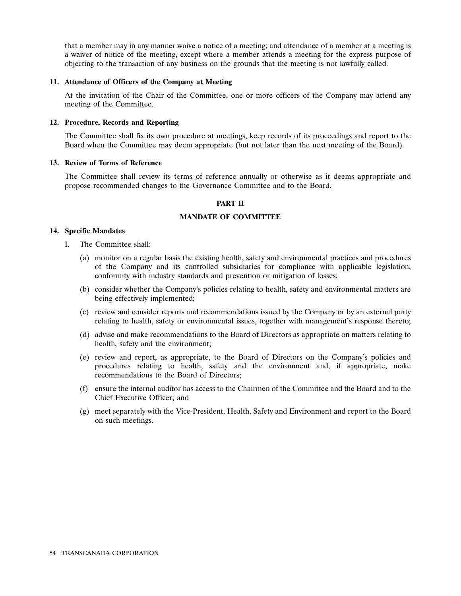that a member may in any manner waive a notice of a meeting; and attendance of a member at a meeting is a waiver of notice of the meeting, except where a member attends a meeting for the express purpose of objecting to the transaction of any business on the grounds that the meeting is not lawfully called.

#### **11. Attendance of Officers of the Company at Meeting**

At the invitation of the Chair of the Committee, one or more officers of the Company may attend any meeting of the Committee.

# **12. Procedure, Records and Reporting**

The Committee shall fix its own procedure at meetings, keep records of its proceedings and report to the Board when the Committee may deem appropriate (but not later than the next meeting of the Board).

#### **13. Review of Terms of Reference**

The Committee shall review its terms of reference annually or otherwise as it deems appropriate and propose recommended changes to the Governance Committee and to the Board.

# **PART II**

## **MANDATE OF COMMITTEE**

#### **14. Specific Mandates**

- I. The Committee shall:
	- (a) monitor on a regular basis the existing health, safety and environmental practices and procedures of the Company and its controlled subsidiaries for compliance with applicable legislation, conformity with industry standards and prevention or mitigation of losses;
	- (b) consider whether the Company's policies relating to health, safety and environmental matters are being effectively implemented;
	- (c) review and consider reports and recommendations issued by the Company or by an external party relating to health, safety or environmental issues, together with management's response thereto;
	- (d) advise and make recommendations to the Board of Directors as appropriate on matters relating to health, safety and the environment;
	- (e) review and report, as appropriate, to the Board of Directors on the Company's policies and procedures relating to health, safety and the environment and, if appropriate, make recommendations to the Board of Directors;
	- (f) ensure the internal auditor has access to the Chairmen of the Committee and the Board and to the Chief Executive Officer; and
	- (g) meet separately with the Vice-President, Health, Safety and Environment and report to the Board on such meetings.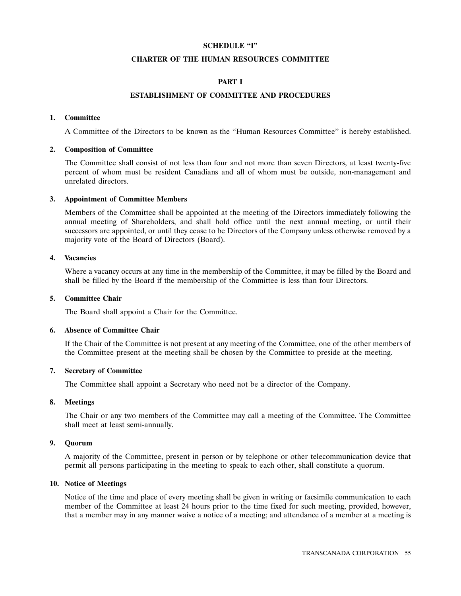## **SCHEDULE "I"**

## **CHARTER OF THE HUMAN RESOURCES COMMITTEE**

# **PART I**

# **ESTABLISHMENT OF COMMITTEE AND PROCEDURES**

# **1. Committee**

A Committee of the Directors to be known as the ''Human Resources Committee'' is hereby established.

# **2. Composition of Committee**

The Committee shall consist of not less than four and not more than seven Directors, at least twenty-five percent of whom must be resident Canadians and all of whom must be outside, non-management and unrelated directors.

# **3. Appointment of Committee Members**

Members of the Committee shall be appointed at the meeting of the Directors immediately following the annual meeting of Shareholders, and shall hold office until the next annual meeting, or until their successors are appointed, or until they cease to be Directors of the Company unless otherwise removed by a majority vote of the Board of Directors (Board).

# **4. Vacancies**

Where a vacancy occurs at any time in the membership of the Committee, it may be filled by the Board and shall be filled by the Board if the membership of the Committee is less than four Directors.

# **5. Committee Chair**

The Board shall appoint a Chair for the Committee.

# **6. Absence of Committee Chair**

If the Chair of the Committee is not present at any meeting of the Committee, one of the other members of the Committee present at the meeting shall be chosen by the Committee to preside at the meeting.

# **7. Secretary of Committee**

The Committee shall appoint a Secretary who need not be a director of the Company.

# **8. Meetings**

The Chair or any two members of the Committee may call a meeting of the Committee. The Committee shall meet at least semi-annually.

# **9. Quorum**

A majority of the Committee, present in person or by telephone or other telecommunication device that permit all persons participating in the meeting to speak to each other, shall constitute a quorum.

# **10. Notice of Meetings**

Notice of the time and place of every meeting shall be given in writing or facsimile communication to each member of the Committee at least 24 hours prior to the time fixed for such meeting, provided, however, that a member may in any manner waive a notice of a meeting; and attendance of a member at a meeting is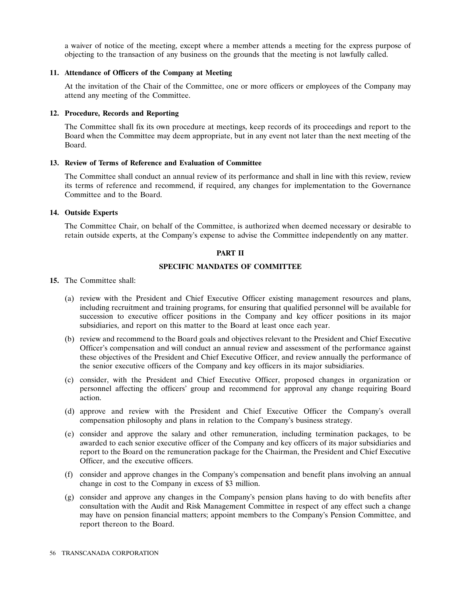a waiver of notice of the meeting, except where a member attends a meeting for the express purpose of objecting to the transaction of any business on the grounds that the meeting is not lawfully called.

## **11. Attendance of Officers of the Company at Meeting**

At the invitation of the Chair of the Committee, one or more officers or employees of the Company may attend any meeting of the Committee.

## **12. Procedure, Records and Reporting**

The Committee shall fix its own procedure at meetings, keep records of its proceedings and report to the Board when the Committee may deem appropriate, but in any event not later than the next meeting of the Board.

# **13. Review of Terms of Reference and Evaluation of Committee**

The Committee shall conduct an annual review of its performance and shall in line with this review, review its terms of reference and recommend, if required, any changes for implementation to the Governance Committee and to the Board.

# **14. Outside Experts**

The Committee Chair, on behalf of the Committee, is authorized when deemed necessary or desirable to retain outside experts, at the Company's expense to advise the Committee independently on any matter.

# **PART II**

# **SPECIFIC MANDATES OF COMMITTEE**

#### **15.** The Committee shall:

- (a) review with the President and Chief Executive Officer existing management resources and plans, including recruitment and training programs, for ensuring that qualified personnel will be available for succession to executive officer positions in the Company and key officer positions in its major subsidiaries, and report on this matter to the Board at least once each year.
- (b) review and recommend to the Board goals and objectives relevant to the President and Chief Executive Officer's compensation and will conduct an annual review and assessment of the performance against these objectives of the President and Chief Executive Officer, and review annually the performance of the senior executive officers of the Company and key officers in its major subsidiaries.
- (c) consider, with the President and Chief Executive Officer, proposed changes in organization or personnel affecting the officers' group and recommend for approval any change requiring Board action.
- (d) approve and review with the President and Chief Executive Officer the Company's overall compensation philosophy and plans in relation to the Company's business strategy.
- (e) consider and approve the salary and other remuneration, including termination packages, to be awarded to each senior executive officer of the Company and key officers of its major subsidiaries and report to the Board on the remuneration package for the Chairman, the President and Chief Executive Officer, and the executive officers.
- (f) consider and approve changes in the Company's compensation and benefit plans involving an annual change in cost to the Company in excess of \$3 million.
- (g) consider and approve any changes in the Company's pension plans having to do with benefits after consultation with the Audit and Risk Management Committee in respect of any effect such a change may have on pension financial matters; appoint members to the Company's Pension Committee, and report thereon to the Board.